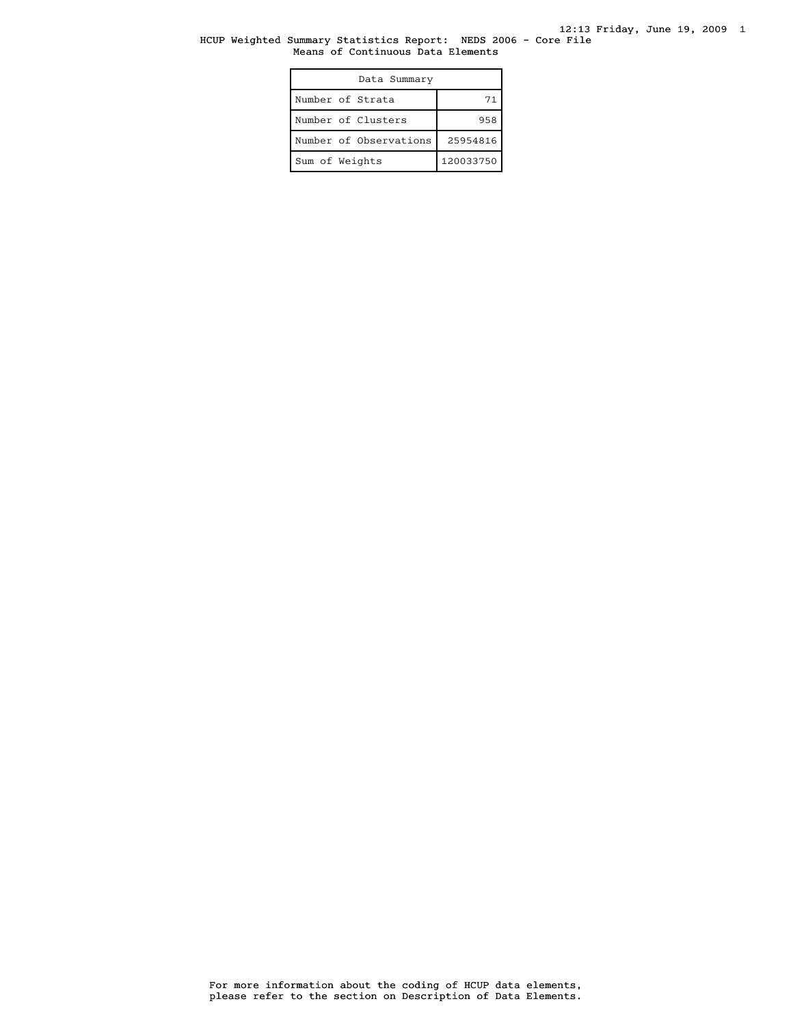### HCUP Weighted Summary Statistics Report: NEDS 2006 - Core File Means of Continuous Data Elements

| Data Summary           |           |
|------------------------|-----------|
| Number of Strata       | 71        |
| Number of Clusters     | 958       |
| Number of Observations | 25954816  |
| Sum of Weights         | 120033750 |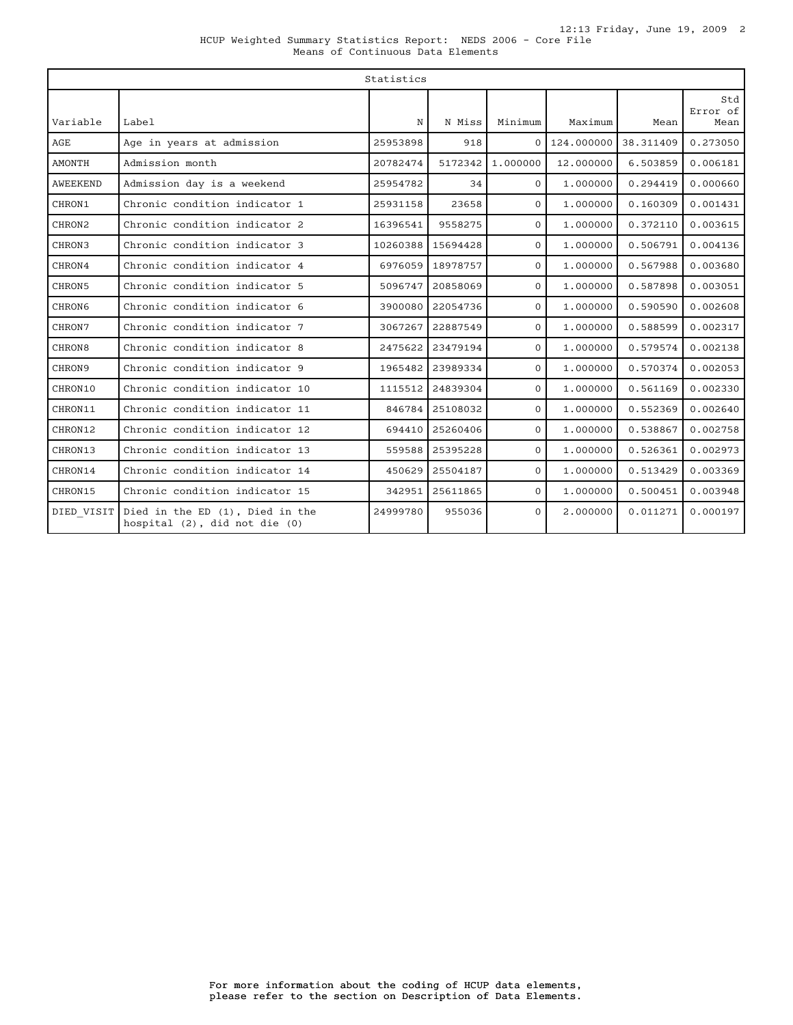| $\ldots$                          |  |  |  |
|-----------------------------------|--|--|--|
| Means of Continuous Data Elements |  |  |  |

|               | Statistics                                                       |          |          |              |            |           |                         |
|---------------|------------------------------------------------------------------|----------|----------|--------------|------------|-----------|-------------------------|
| Variable      | Label                                                            | N        | N Miss   | Minimum      | Maximum    | Mean      | Std<br>Error of<br>Mean |
| AGE           | Age in years at admission                                        | 25953898 | 918      | $\Omega$     | 124,000000 | 38.311409 | 0.273050                |
| <b>AMONTH</b> | Admission month                                                  | 20782474 | 5172342  | 1,000000     | 12.000000  | 6.503859  | 0.006181                |
| AWEEKEND      | Admission day is a weekend                                       | 25954782 | 34       | $\Omega$     | 1,000000   | 0.294419  | 0.000660                |
| CHRON1        | Chronic condition indicator 1                                    | 25931158 | 23658    | $\Omega$     | 1,000000   | 0.160309  | 0.001431                |
| CHRON2        | Chronic condition indicator 2                                    | 16396541 | 9558275  | $\Omega$     | 1,000000   | 0.372110  | 0.003615                |
| CHRON3        | Chronic condition indicator 3                                    | 10260388 | 15694428 | $\Omega$     | 1,000000   | 0.506791  | 0.004136                |
| CHRON4        | Chronic condition indicator 4                                    | 6976059  | 18978757 | $\Omega$     | 1,000000   | 0.567988  | 0.003680                |
| CHRON5        | Chronic condition indicator 5                                    | 5096747  | 20858069 | $\Omega$     | 1,000000   | 0.587898  | 0.003051                |
| <b>CHRON6</b> | Chronic condition indicator 6                                    | 3900080  | 22054736 | $\Omega$     | 1,000000   | 0.590590  | 0.002608                |
| CHRON7        | Chronic condition indicator 7                                    | 3067267  | 22887549 | $\Omega$     | 1,000000   | 0.588599  | 0.002317                |
| CHRON8        | Chronic condition indicator 8                                    | 2475622  | 23479194 | $\mathbf{0}$ | 1,000000   | 0.579574  | 0.002138                |
| CHRON9        | Chronic condition indicator 9                                    | 1965482  | 23989334 | $\Omega$     | 1,000000   | 0.570374  | 0.002053                |
| CHRON10       | Chronic condition indicator 10                                   | 1115512  | 24839304 | $\Omega$     | 1,000000   | 0.561169  | 0.002330                |
| CHRON11       | Chronic condition indicator 11                                   | 846784   | 25108032 | $\Omega$     | 1.000000   | 0.552369  | 0.002640                |
| CHRON12       | Chronic condition indicator 12                                   | 694410   | 25260406 | $\Omega$     | 1,000000   | 0.538867  | 0.002758                |
| CHRON13       | Chronic condition indicator 13                                   | 559588   | 25395228 | $\Omega$     | 1,000000   | 0.526361  | 0.002973                |
| CHRON14       | Chronic condition indicator 14                                   | 450629   | 25504187 | $\Omega$     | 1,000000   | 0.513429  | 0.003369                |
| CHRON15       | Chronic condition indicator 15                                   | 342951   | 25611865 | $\mathbf{O}$ | 1,000000   | 0.500451  | 0.003948                |
| DIED VISIT    | Died in the ED (1), Died in the<br>hospital (2), did not die (0) | 24999780 | 955036   | $\Omega$     | 2.000000   | 0.011271  | 0.000197                |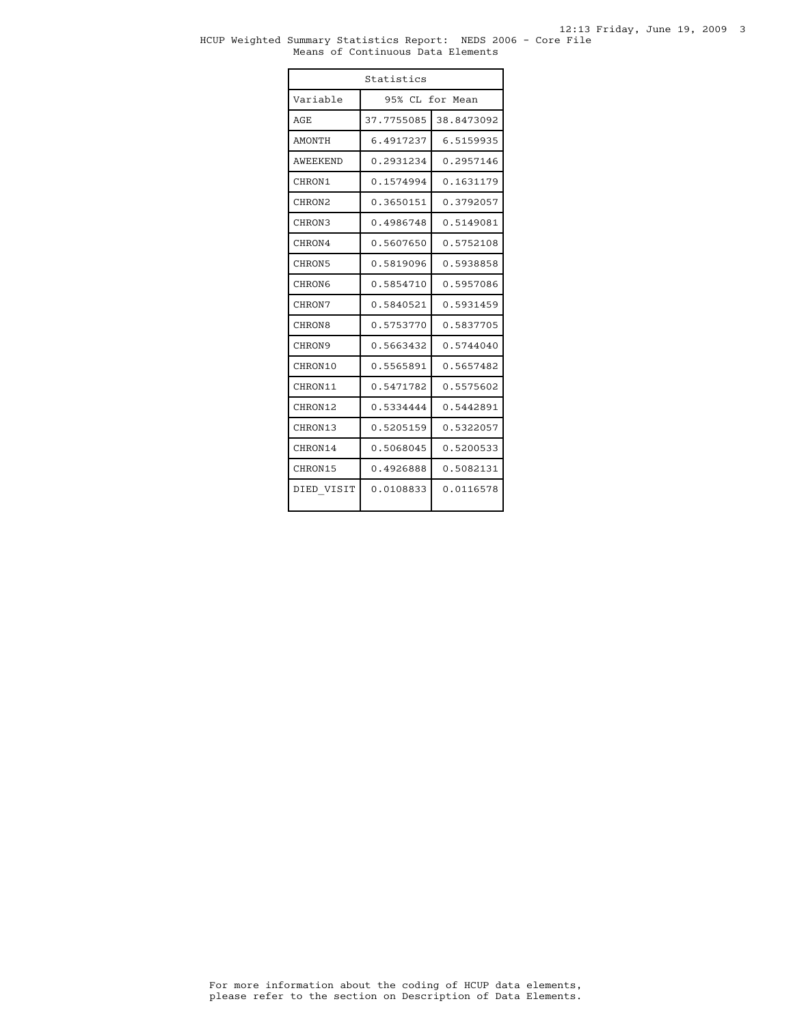#### HCUP Weighted Summary Statistics Report: NEDS 2006 - Core File Means of Continuous Data Elements

| Statistics      |            |                 |
|-----------------|------------|-----------------|
| Variable        |            | 95% CL for Mean |
| AGE             | 37.7755085 | 38.8473092      |
| <b>AMONTH</b>   | 6.4917237  | 6.5159935       |
| <b>AWEEKEND</b> | 0.2931234  | 0.2957146       |
| CHRON1          | 0.1574994  | 0.1631179       |
| CHRON2          | 0.3650151  | 0.3792057       |
| CHRON3          | 0.4986748  | 0.5149081       |
| CHRON4          | 0.5607650  | 0.5752108       |
| CHRON5          | 0.5819096  | 0.5938858       |
| <b>CHRON6</b>   | 0.5854710  | 0.5957086       |
| CHRON7          | 0.5840521  | 0.5931459       |
| CHRON8          | 0.5753770  | 0.5837705       |
| CHRON9          | 0.5663432  | 0.5744040       |
| CHRON10         | 0.5565891  | 0.5657482       |
| CHRON11         | 0.5471782  | 0.5575602       |
| CHRON12         | 0.5334444  | 0.5442891       |
| CHRON13         | 0.5205159  | 0.5322057       |
| CHRON14         | 0.5068045  | 0.5200533       |
| CHRON15         | 0.4926888  | 0.5082131       |
| DIED VISIT      | 0.0108833  | 0.0116578       |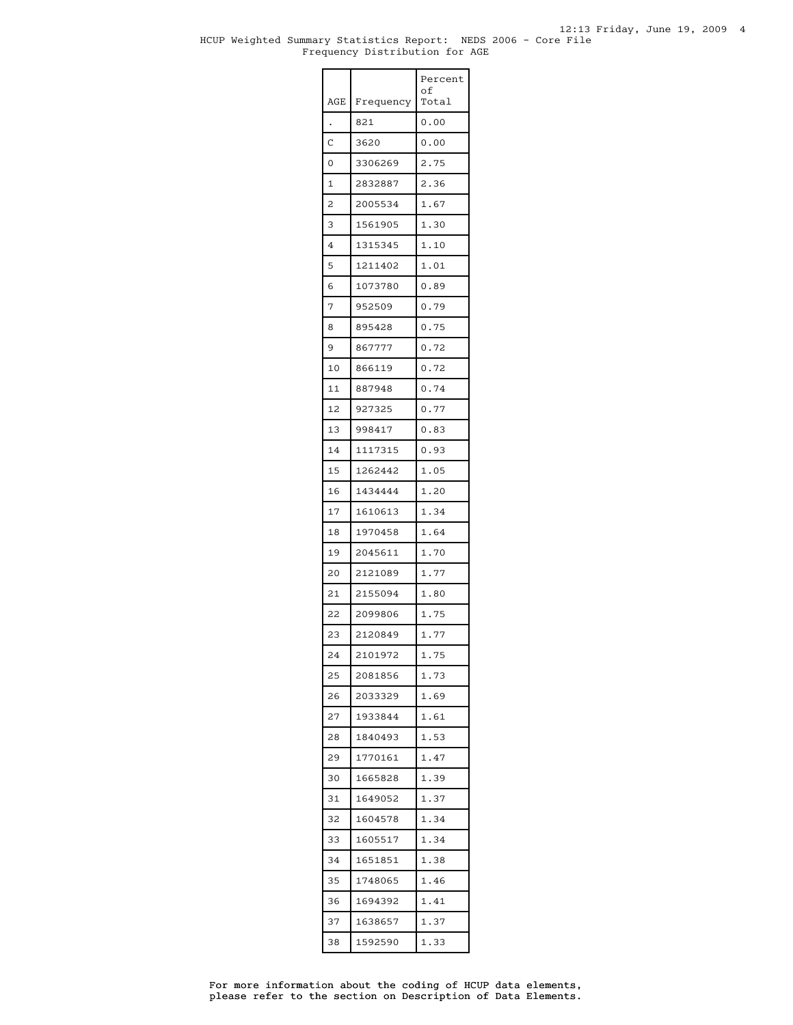### HCUP Weighted Summary Statistics Report: NEDS 2006 - Core File Frequency Distribution for AGE

|     |           | Percent<br>οf |
|-----|-----------|---------------|
| AGE | Frequency | Total         |
|     | 821       | 0.00          |
| Ċ   | 3620      | 0.00          |
| 0   | 3306269   | 2.75          |
| 1   | 2832887   | 2.36          |
| 2   | 2005534   | 1.67          |
| 3   | 1561905   | 1.30          |
| 4   | 1315345   | 1.10          |
| 5   | 1211402   | 1.01          |
| 6   | 1073780   | 0.89          |
| 7   | 952509    | 0.79          |
| 8   | 895428    | 0.75          |
| 9   | 867777    | 0.72          |
| 10  | 866119    | 0.72          |
| 11  | 887948    | 0.74          |
| 12  | 927325    | 0.77          |
| 13  | 998417    | 0.83          |
| 14  | 1117315   | 0.93          |
| 15  | 1262442   | 1.05          |
| 16  | 1434444   | 1.20          |
| 17  | 1610613   | 1.34          |
| 18  | 1970458   | 1.64          |
| 19  | 2045611   | 1.70          |
| 20  | 2121089   | 1.77          |
| 21  | 2155094   | 1.80          |
| 22  | 2099806   | 1.75          |
| 23  | 2120849   | 1.77          |
| 24  | 2101972   | 1.75          |
| 25  | 2081856   | 1.73          |
| 26  | 2033329   | 1.69          |
| 27  | 1933844   | 1.61          |
| 28  | 1840493   | 1.53          |
| 29  | 1770161   | 1.47          |
| 30  | 1665828   | 1.39          |
| 31  | 1649052   | 1.37          |
| 32  | 1604578   | 1.34          |
| 33  | 1605517   | 1.34          |
| 34  | 1651851   | 1.38          |
| 35  | 1748065   | 1.46          |
| 36  | 1694392   | 1.41          |
| 37  | 1638657   | 1.37          |
| 38  | 1592590   | 1.33          |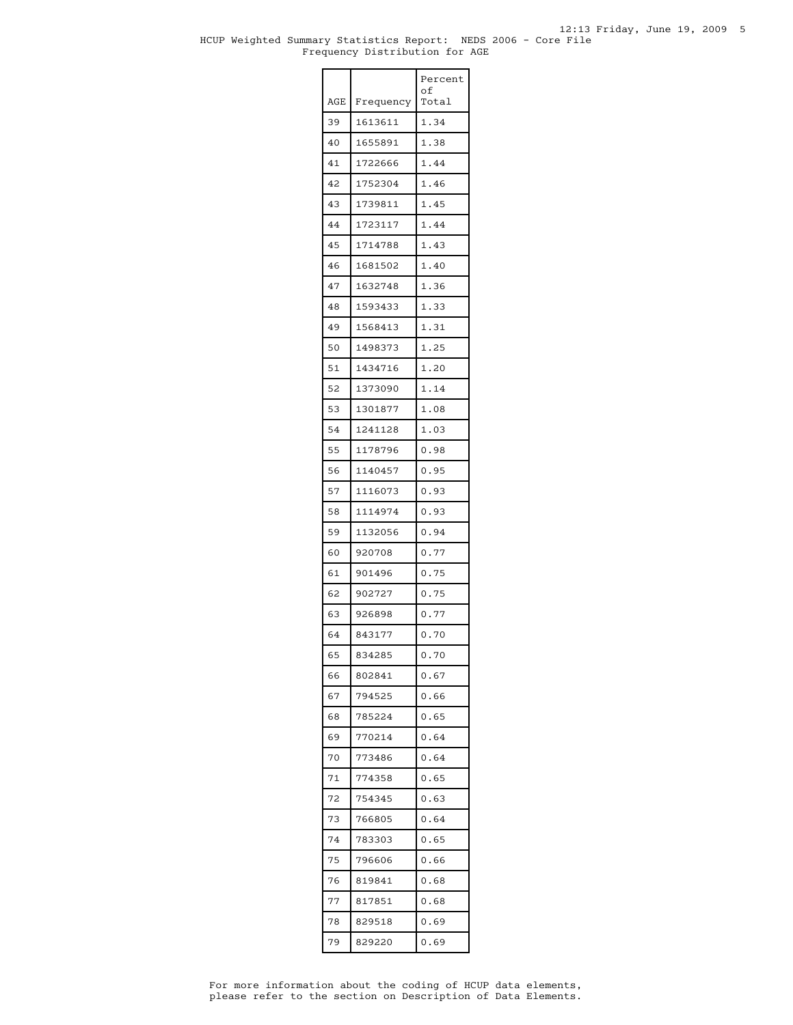### HCUP Weighted Summary Statistics Report: NEDS 2006 - Core File Frequency Distribution for AGE

|     |           | Percent<br>οf |
|-----|-----------|---------------|
| AGE | Frequency | Total         |
| 39  | 1613611   | 1.34          |
| 40  | 1655891   | 1.38          |
| 41  | 1722666   | 1.44          |
| 42  | 1752304   | 1.46          |
| 43  | 1739811   | 1.45          |
| 44  | 1723117   | 1.44          |
| 45  | 1714788   | 1.43          |
| 46  | 1681502   | 1.40          |
| 47  | 1632748   | 1.36          |
| 48  | 1593433   | 1.33          |
| 49  | 1568413   | 1.31          |
| 50  | 1498373   | 1.25          |
| 51  | 1434716   | 1.20          |
| 52  | 1373090   | 1.14          |
| 53  | 1301877   | 1.08          |
| 54  | 1241128   | 1.03          |
| 55  | 1178796   | 0.98          |
| 56  | 1140457   | 0.95          |
| 57  | 1116073   | 0.93          |
| 58  | 1114974   | 0.93          |
| 59  | 1132056   | 0.94          |
| 60  | 920708    | 0.77          |
| 61  | 901496    | 0.75          |
| 62  | 902727    | 0.75          |
| 63  | 926898    | 0.77          |
| 64  | 843177    | 0.70          |
| 65  | 834285    | 0.70          |
| 66  | 802841    | 0.67          |
| 67  | 794525    | 0.66          |
| 68  | 785224    | 0.65          |
| 69  | 770214    | 0.64          |
| 70  | 773486    | 0.64          |
| 71  | 774358    | 0.65          |
| 72  | 754345    | 0.63          |
| 73  | 766805    | 0.64          |
| 74  | 783303    | 0.65          |
| 75  | 796606    | 0.66          |
| 76  | 819841    | 0.68          |
| 77  | 817851    | 0.68          |
| 78  | 829518    | 0.69          |
| 79  | 829220    | 0.69          |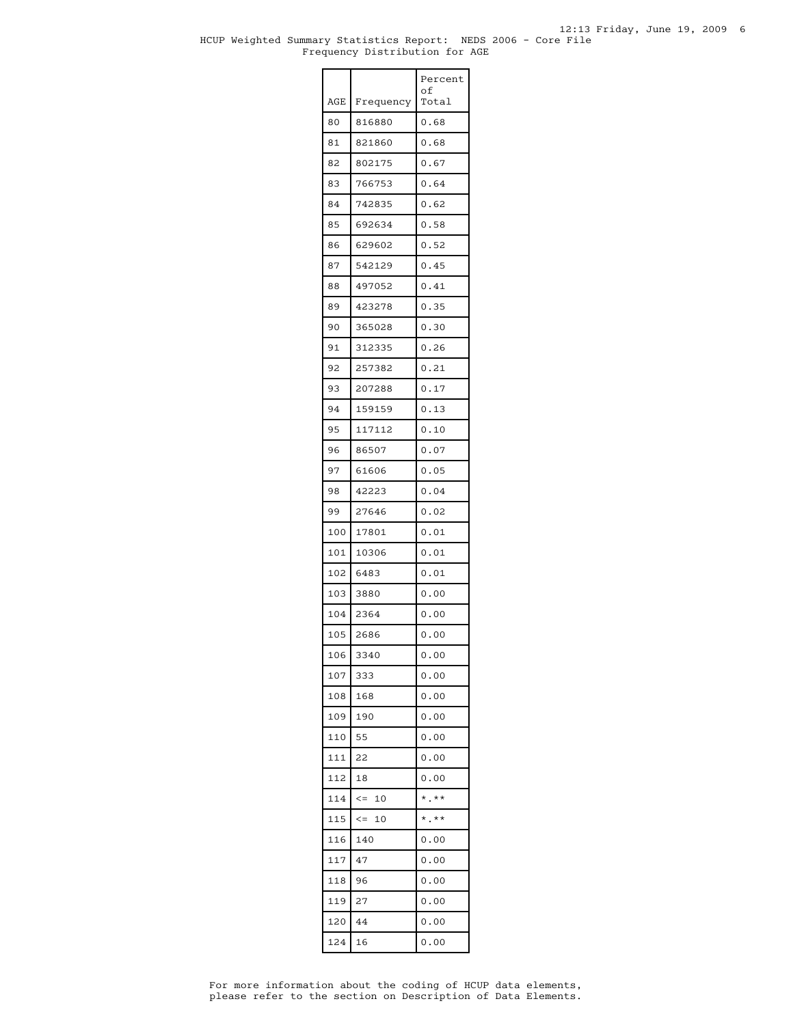### HCUP Weighted Summary Statistics Report: NEDS 2006 - Core File Frequency Distribution for AGE

|     |                  | Percent<br>οf              |
|-----|------------------|----------------------------|
| AGE | Frequency        | Total                      |
| 80  | 816880           | 0.68                       |
| 81  | 821860           | 0.68                       |
| 82  | 802175           | 0.67                       |
| 83  | 766753           | 0.64                       |
| 84  | 742835           | 0.62                       |
| 85  | 692634           | 0.58                       |
| 86  | 629602           | 0.52                       |
| 87  | 542129           | 0.45                       |
| 88  | 497052           | 0.41                       |
| 89  | 423278           | 0.35                       |
| 90  | 365028           | 0.30                       |
| 91  | 312335           | 0.26                       |
| 92  | 257382           | 0.21                       |
| 93  | 207288           | 0.17                       |
| 94  | 159159           | 0.13                       |
| 95  | 117112           | 0.10                       |
| 96  | 86507            | 0.07                       |
| 97  | 61606            | 0.05                       |
| 98  | 42223            | 0.04                       |
| 99  | 27646            | 0.02                       |
| 100 | 17801            | 0.01                       |
| 101 | 10306            | 0.01                       |
| 102 | 6483             | 0.01                       |
| 103 | 3880             | 0.00                       |
| 104 | 2364             | 0.00                       |
| 105 | 2686             | 0.00                       |
| 106 | 3340             | 0.00                       |
| 107 | 333              | 0.00                       |
| 108 | 168              | 0.00                       |
| 109 | 190              | 0.00                       |
| 110 | 55               | 0.00                       |
| 111 | 22               | 0.00                       |
| 112 | 18               | 0.00                       |
| 114 | $\leq$ $=$<br>10 | $*$ .**                    |
| 115 | $\leq$ $=$<br>10 | $^\star$ . $^{\star\star}$ |
| 116 | 140              | 0.00                       |
| 117 | 47               | 0.00                       |
| 118 | 96               | 0.00                       |
| 119 | 27               | 0.00                       |
| 120 | 44               | 0.00                       |
| 124 | 16               | 0.00                       |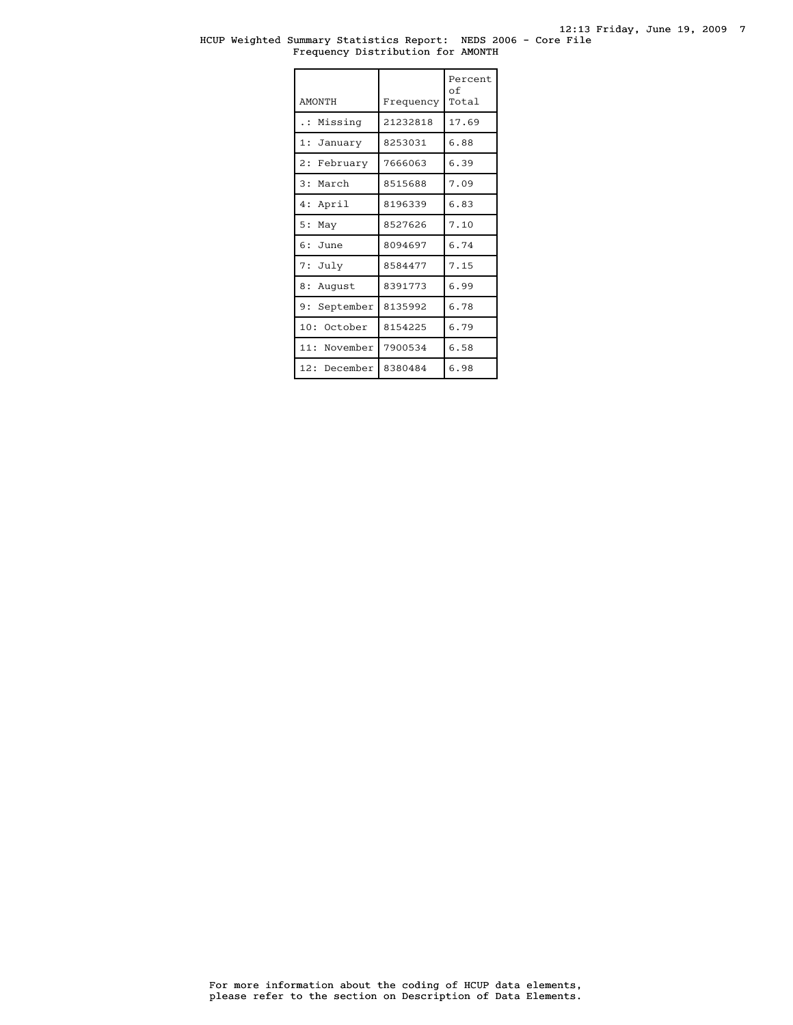### HCUP Weighted Summary Statistics Report: NEDS 2006 - Core File Frequency Distribution for AMONTH

| <b>AMONTH</b>   | Frequency | Percent<br>of<br>Total |
|-----------------|-----------|------------------------|
| Missing<br>.    | 21232818  | 17.69                  |
| 1: January      | 8253031   | 6.88                   |
| 2:<br>February  | 7666063   | 6.39                   |
| 3: March        | 8515688   | 7.09                   |
| 4: April        | 8196339   | 6.83                   |
| 5:<br>May       | 8527626   | 7.10                   |
| $6:$ June       | 8094697   | 6.74                   |
| 7: July         | 8584477   | 7.15                   |
| 8 :<br>August   | 8391773   | 6.99                   |
| 9:<br>September | 8135992   | 6.78                   |
| 10: October     | 8154225   | 6.79                   |
| 11: November    | 7900534   | 6.58                   |
| 12: December    | 8380484   | 6.98                   |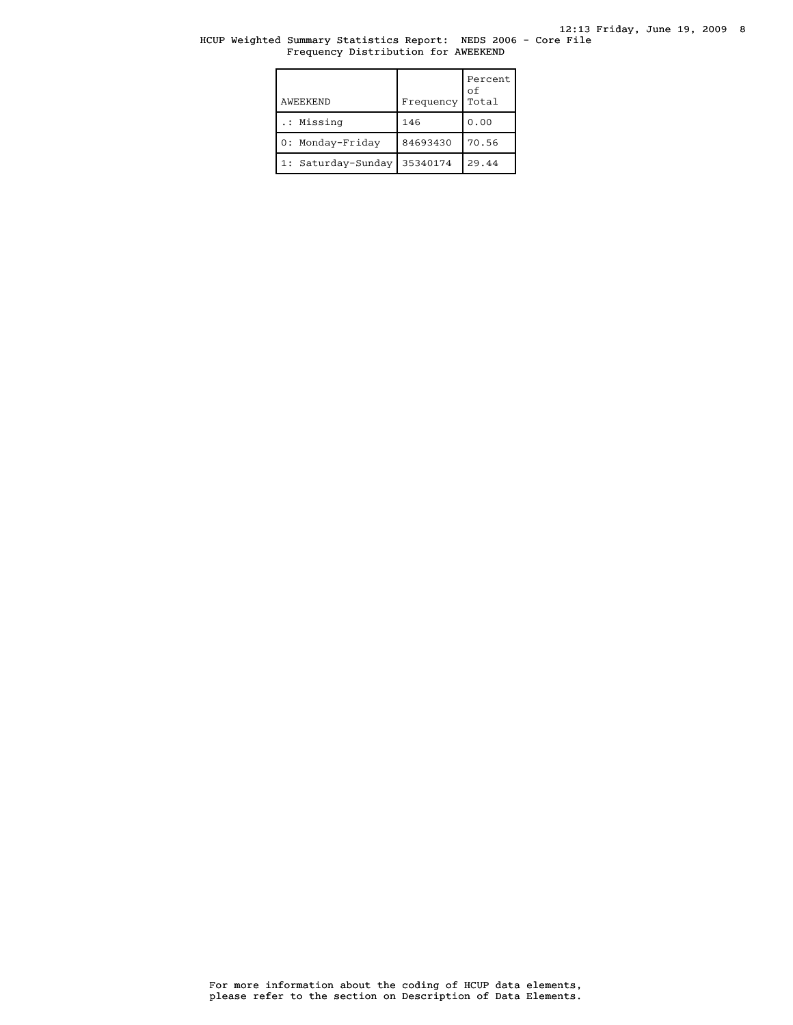## HCUP Weighted Summary Statistics Report: NEDS 2006 - Core File Frequency Distribution for AWEEKEND

| AWEEKEND           | Frequency | Percent<br>οf<br>Total |
|--------------------|-----------|------------------------|
| .: Missing         | 146       | 0.00                   |
| 0: Monday-Friday   | 84693430  | 70.56                  |
| 1: Saturday-Sunday | 35340174  | 29.44                  |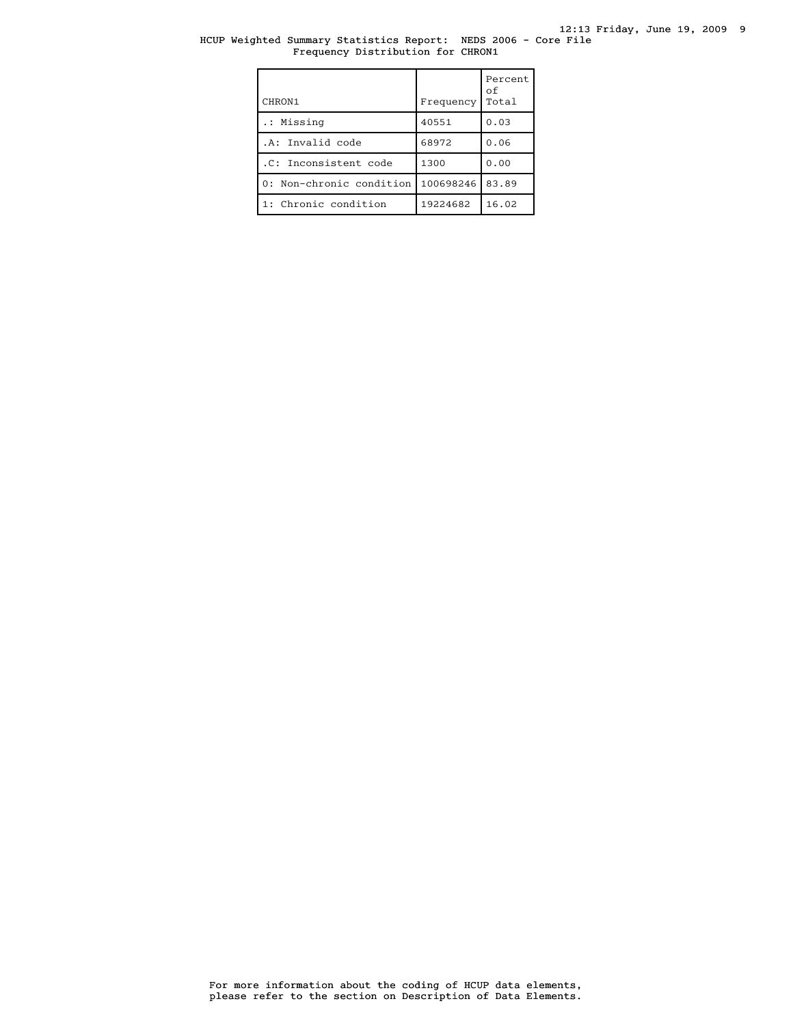## HCUP Weighted Summary Statistics Report: NEDS 2006 - Core File Frequency Distribution for CHRON1

| CHRON1                   | Frequency | Percent<br>οf<br>Total |
|--------------------------|-----------|------------------------|
| .: Missing               | 40551     | 0.03                   |
| .A: Invalid code         | 68972     | 0.06                   |
| .C: Inconsistent code    | 1300      | 0.00                   |
| 0: Non-chronic condition | 100698246 | 83.89                  |
| 1: Chronic condition     | 19224682  | 16.02                  |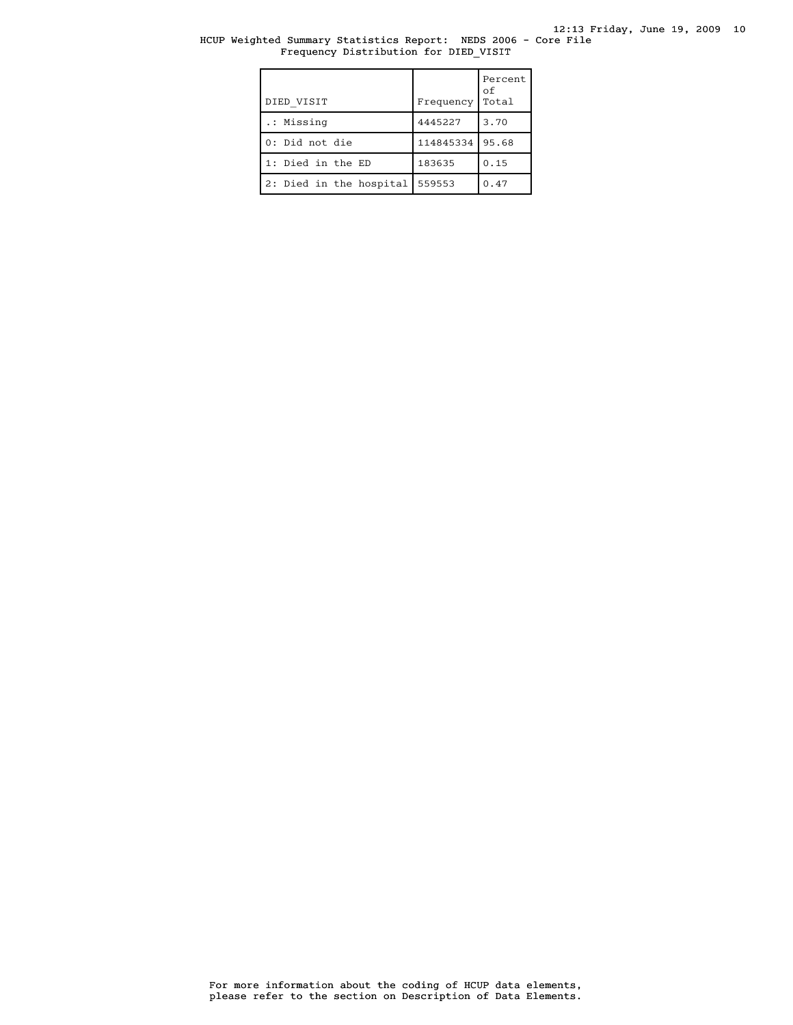## HCUP Weighted Summary Statistics Report: NEDS 2006 - Core File Frequency Distribution for DIED\_VISIT

| DIED VISIT              | Frequency | Percent<br>оf<br>Total |
|-------------------------|-----------|------------------------|
| .: Missing              | 4445227   | 3.70                   |
| 0: Did not die          | 114845334 | 95.68                  |
| 1: Died in the ED       | 183635    | 0.15                   |
| 2: Died in the hospital | 559553    | 0.47                   |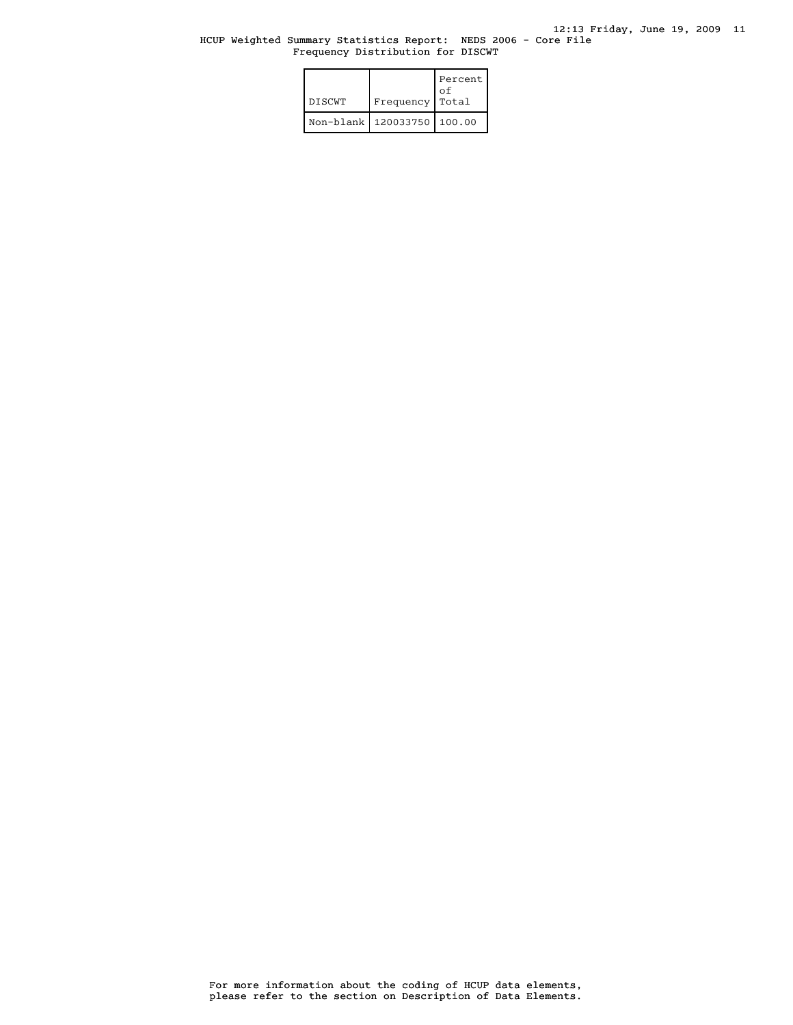## HCUP Weighted Summary Statistics Report: NEDS 2006 - Core File Frequency Distribution for DISCWT

| <b>DISCWT</b> | Frequency                      | Percent<br>οf<br>Total |
|---------------|--------------------------------|------------------------|
|               | Non-blank   120033750   100.00 |                        |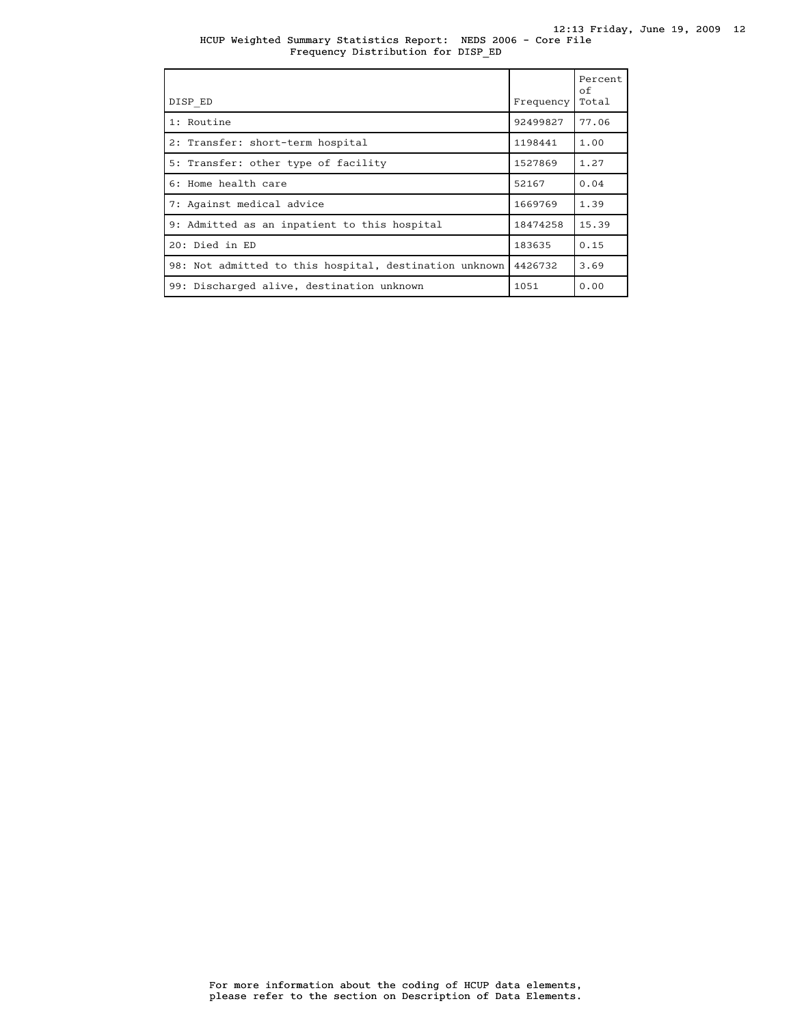#### HCUP Weighted Summary Statistics Report: NEDS 2006 - Core File 12:13 Friday, June 19, 2009 12 Frequency Distribution for DISP\_ED

| DISP ED                                                | Frequency | Percent<br>of<br>Total |
|--------------------------------------------------------|-----------|------------------------|
| 1: Routine                                             | 92499827  | 77.06                  |
| 2: Transfer: short-term hospital                       | 1198441   | 1.00                   |
| 5: Transfer: other type of facility                    | 1527869   | 1.27                   |
| 6: Home health care                                    | 52167     | 0.04                   |
| 7: Against medical advice                              | 1669769   | 1.39                   |
| 9: Admitted as an inpatient to this hospital           | 18474258  | 15.39                  |
| 20: Died in ED                                         | 183635    | 0.15                   |
| 98: Not admitted to this hospital, destination unknown | 4426732   | 3.69                   |
| 99: Discharged alive, destination unknown              | 1051      | 0.00                   |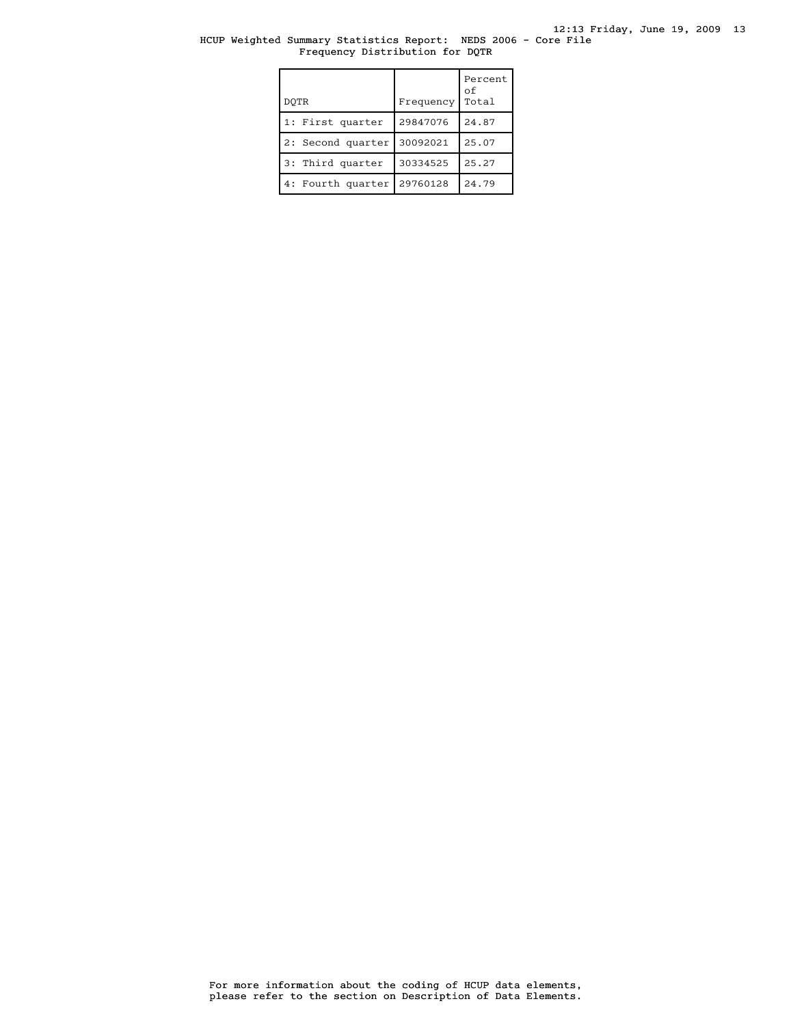## HCUP Weighted Summary Statistics Report: NEDS 2006 - Core File Frequency Distribution for DQTR

| DOTR              | Frequency | Percent<br>οf<br>Total |
|-------------------|-----------|------------------------|
| 1: First quarter  | 29847076  | 24.87                  |
| 2: Second quarter | 30092021  | 25.07                  |
| 3: Third quarter  | 30334525  | 25.27                  |
| 4: Fourth quarter | 29760128  | 24.79                  |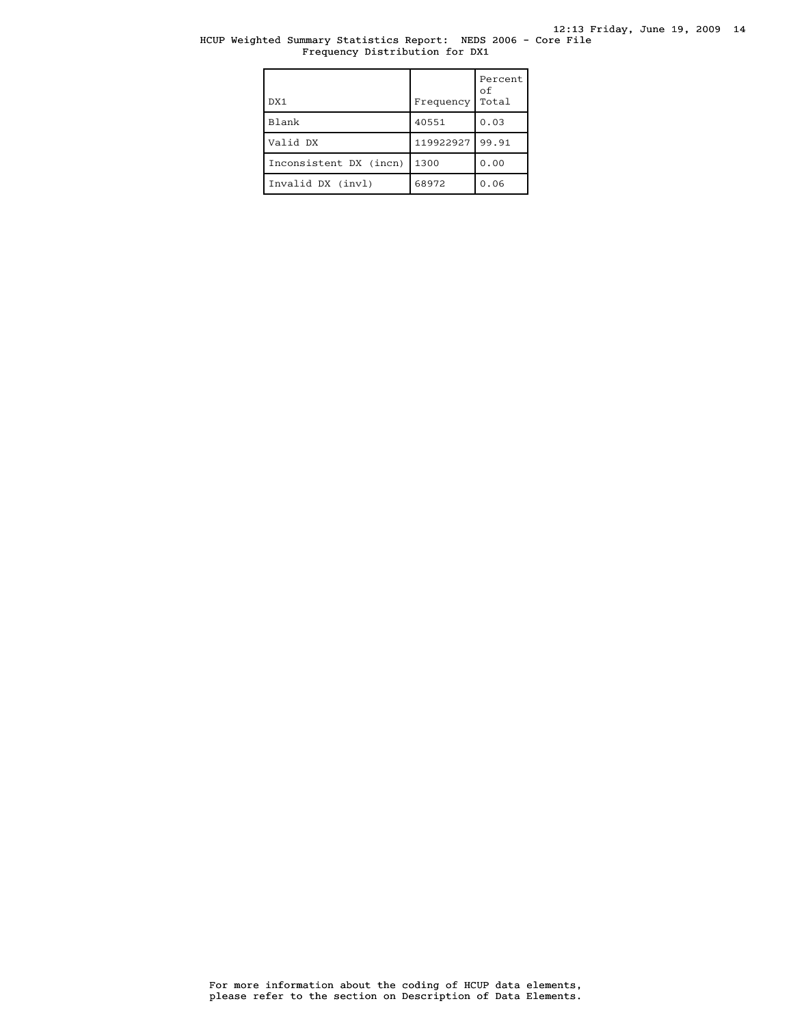# HCUP Weighted Summary Statistics Report: NEDS 2006 - Core File Frequency Distribution for DX1

| DX1                    | Frequency | Percent<br>οf<br>Total |
|------------------------|-----------|------------------------|
| Blank                  | 40551     | 0.03                   |
| Valid DX               | 119922927 | 99.91                  |
| Inconsistent DX (incn) | 1300      | 0.00                   |
| Invalid DX (invl)      | 68972     | 0.06                   |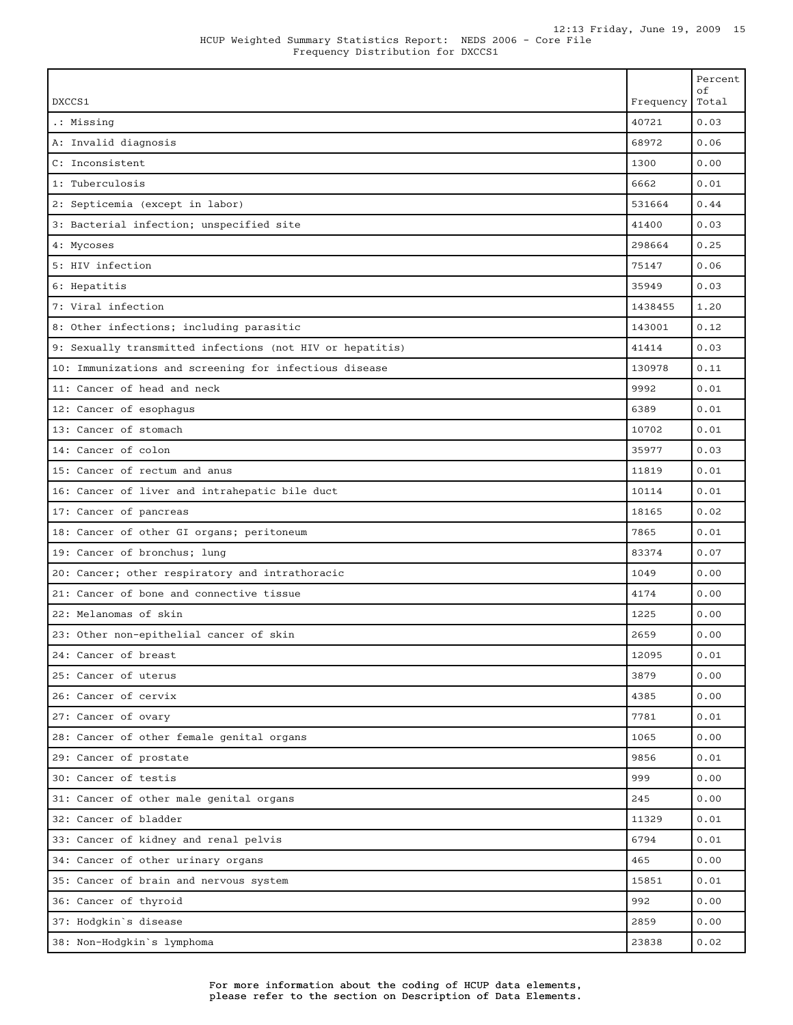|  | HCUP Weighted Summary Statistics Report: NEDS 2006 - Core File |  |  |  |  |
|--|----------------------------------------------------------------|--|--|--|--|
|  | Frequency Distribution for DXCCS1                              |  |  |  |  |

| DXCCS1                                                    | Frequency | Percent<br>оf<br>Total |
|-----------------------------------------------------------|-----------|------------------------|
| .: Missing                                                | 40721     | 0.03                   |
| A: Invalid diagnosis                                      | 68972     | 0.06                   |
| C: Inconsistent                                           | 1300      | 0.00                   |
| 1: Tuberculosis                                           | 6662      | 0.01                   |
| 2: Septicemia (except in labor)                           | 531664    | 0.44                   |
| 3: Bacterial infection; unspecified site                  | 41400     | 0.03                   |
| 4: Mycoses                                                | 298664    | 0.25                   |
| 5: HIV infection                                          | 75147     | 0.06                   |
| 6: Hepatitis                                              | 35949     | 0.03                   |
| 7: Viral infection                                        | 1438455   | 1.20                   |
| 8: Other infections; including parasitic                  | 143001    | 0.12                   |
| 9: Sexually transmitted infections (not HIV or hepatitis) | 41414     | 0.03                   |
| 10: Immunizations and screening for infectious disease    | 130978    | 0.11                   |
| 11: Cancer of head and neck                               | 9992      | 0.01                   |
| 12: Cancer of esophagus                                   | 6389      | 0.01                   |
| 13: Cancer of stomach                                     | 10702     | 0.01                   |
| 14: Cancer of colon                                       | 35977     | 0.03                   |
| 15: Cancer of rectum and anus                             | 11819     | 0.01                   |
| 16: Cancer of liver and intrahepatic bile duct            | 10114     | 0.01                   |
| 17: Cancer of pancreas                                    | 18165     | 0.02                   |
| 18: Cancer of other GI organs; peritoneum                 | 7865      | 0.01                   |
| 19: Cancer of bronchus; lung                              | 83374     | 0.07                   |
| 20: Cancer; other respiratory and intrathoracic           | 1049      | 0.00                   |
| 21: Cancer of bone and connective tissue                  | 4174      | 0.00                   |
| 22: Melanomas of skin                                     | 1225      | 0.00                   |
| 23: Other non-epithelial cancer of skin                   | 2659      | 0.00                   |
| 24: Cancer of breast                                      | 12095     | 0.01                   |
| 25: Cancer of uterus                                      | 3879      | 0.00                   |
| 26: Cancer of cervix                                      | 4385      | 0.00                   |
| 27: Cancer of ovary                                       | 7781      | 0.01                   |
| 28: Cancer of other female genital organs                 | 1065      | 0.00                   |
| 29: Cancer of prostate                                    | 9856      | 0.01                   |
| 30: Cancer of testis                                      | 999       | 0.00                   |
| 31: Cancer of other male genital organs                   | 245       | 0.00                   |
| 32: Cancer of bladder                                     | 11329     | 0.01                   |
| 33: Cancer of kidney and renal pelvis                     | 6794      | 0.01                   |
| 34: Cancer of other urinary organs                        | 465       | 0.00                   |
| 35: Cancer of brain and nervous system                    | 15851     | 0.01                   |
| 36: Cancer of thyroid                                     | 992       | 0.00                   |
| 37: Hodgkin's disease                                     | 2859      | 0.00                   |
| 38: Non-Hodgkin's lymphoma                                | 23838     | 0.02                   |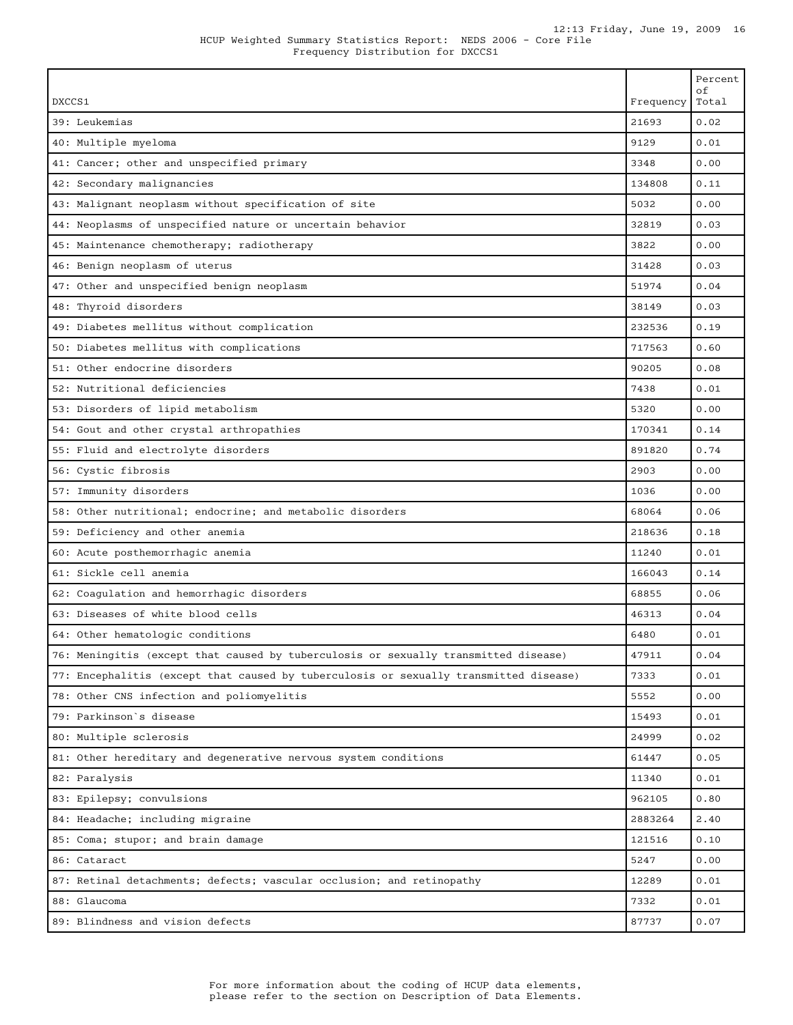| HCUP Weighted Summary Statistics Report: NEDS 2006 - Core File |                                   |  |  |  |  |  |
|----------------------------------------------------------------|-----------------------------------|--|--|--|--|--|
|                                                                | Frequency Distribution for DXCCS1 |  |  |  |  |  |

| DXCCS1                                                                                | Frequency | Percent<br>οf<br>Total |
|---------------------------------------------------------------------------------------|-----------|------------------------|
| 39: Leukemias                                                                         | 21693     | 0.02                   |
| 40: Multiple myeloma                                                                  | 9129      | 0.01                   |
| 41: Cancer; other and unspecified primary                                             | 3348      | 0.00                   |
| 42: Secondary malignancies                                                            | 134808    | 0.11                   |
| 43: Malignant neoplasm without specification of site                                  | 5032      | 0.00                   |
| 44: Neoplasms of unspecified nature or uncertain behavior                             | 32819     | 0.03                   |
| 45: Maintenance chemotherapy; radiotherapy                                            | 3822      | 0.00                   |
| 46: Benign neoplasm of uterus                                                         | 31428     | 0.03                   |
| 47: Other and unspecified benign neoplasm                                             | 51974     | 0.04                   |
| 48: Thyroid disorders                                                                 | 38149     | 0.03                   |
| 49: Diabetes mellitus without complication                                            | 232536    | 0.19                   |
| 50: Diabetes mellitus with complications                                              | 717563    | 0.60                   |
| 51: Other endocrine disorders                                                         | 90205     | 0.08                   |
| 52: Nutritional deficiencies                                                          | 7438      | 0.01                   |
| 53: Disorders of lipid metabolism                                                     | 5320      | 0.00                   |
| 54: Gout and other crystal arthropathies                                              | 170341    | 0.14                   |
| 55: Fluid and electrolyte disorders                                                   | 891820    | 0.74                   |
| 56: Cystic fibrosis                                                                   | 2903      | 0.00                   |
| 57: Immunity disorders                                                                | 1036      | 0.00                   |
| 58: Other nutritional; endocrine; and metabolic disorders                             | 68064     | 0.06                   |
| 59: Deficiency and other anemia                                                       | 218636    | 0.18                   |
| 60: Acute posthemorrhagic anemia                                                      | 11240     | 0.01                   |
| 61: Sickle cell anemia                                                                | 166043    | 0.14                   |
| 62: Coagulation and hemorrhagic disorders                                             | 68855     | 0.06                   |
| 63: Diseases of white blood cells                                                     | 46313     | 0.04                   |
| 64: Other hematologic conditions                                                      | 6480      | 0.01                   |
| 76: Meningitis (except that caused by tuberculosis or sexually transmitted disease)   | 47911     | 0.04                   |
| 77: Encephalitis (except that caused by tuberculosis or sexually transmitted disease) | 7333      | 0.01                   |
| 78: Other CNS infection and poliomyelitis                                             | 5552      | 0.00                   |
| 79: Parkinson's disease                                                               | 15493     | 0.01                   |
| 80: Multiple sclerosis                                                                | 24999     | 0.02                   |
| 81: Other hereditary and degenerative nervous system conditions                       | 61447     | 0.05                   |
| 82: Paralysis                                                                         | 11340     | 0.01                   |
| 83: Epilepsy; convulsions                                                             | 962105    | 0.80                   |
| 84: Headache; including migraine                                                      | 2883264   | 2.40                   |
| 85: Coma; stupor; and brain damage                                                    | 121516    | 0.10                   |
| 86: Cataract                                                                          | 5247      | 0.00                   |
| 87: Retinal detachments; defects; vascular occlusion; and retinopathy                 | 12289     | 0.01                   |
| 88: Glaucoma                                                                          | 7332      | 0.01                   |
| 89: Blindness and vision defects                                                      | 87737     | 0.07                   |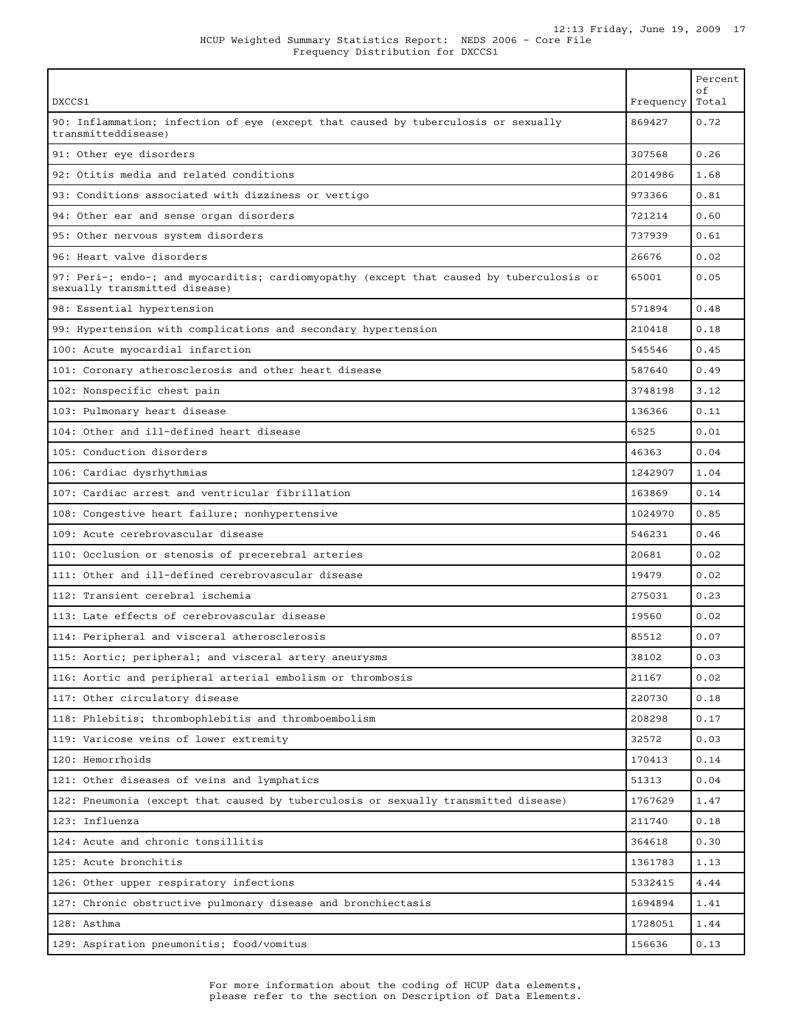| DXCCS1                                                                                                                    | Frequency | Percent<br>οf<br>Total |
|---------------------------------------------------------------------------------------------------------------------------|-----------|------------------------|
| 90: Inflammation; infection of eye (except that caused by tuberculosis or sexually<br>transmitteddisease)                 | 869427    | 0.72                   |
| 91: Other eye disorders                                                                                                   | 307568    | 0.26                   |
| 92: Otitis media and related conditions                                                                                   | 2014986   | 1.68                   |
| 93: Conditions associated with dizziness or vertigo                                                                       | 973366    | 0.81                   |
| 94: Other ear and sense organ disorders                                                                                   | 721214    | 0.60                   |
| 95: Other nervous system disorders                                                                                        | 737939    | 0.61                   |
| 96: Heart valve disorders                                                                                                 | 26676     | 0.02                   |
| 97: Peri-; endo-; and myocarditis; cardiomyopathy (except that caused by tuberculosis or<br>sexually transmitted disease) | 65001     | 0.05                   |
| 98: Essential hypertension                                                                                                | 571894    | 0.48                   |
| 99: Hypertension with complications and secondary hypertension                                                            | 210418    | 0.18                   |
| 100: Acute myocardial infarction                                                                                          | 545546    | 0.45                   |
| 101: Coronary atherosclerosis and other heart disease                                                                     | 587640    | 0.49                   |
| 102: Nonspecific chest pain                                                                                               | 3748198   | 3.12                   |
| 103: Pulmonary heart disease                                                                                              | 136366    | 0.11                   |
| 104: Other and ill-defined heart disease                                                                                  | 6525      | 0.01                   |
| 105: Conduction disorders                                                                                                 | 46363     | 0.04                   |
| 106: Cardiac dysrhythmias                                                                                                 | 1242907   | 1.04                   |
| 107: Cardiac arrest and ventricular fibrillation                                                                          | 163869    | 0.14                   |
| 108: Congestive heart failure; nonhypertensive                                                                            | 1024970   | 0.85                   |
| 109: Acute cerebrovascular disease                                                                                        | 546231    | 0.46                   |
| 110: Occlusion or stenosis of precerebral arteries                                                                        | 20681     | 0.02                   |
| 111: Other and ill-defined cerebrovascular disease                                                                        | 19479     | 0.02                   |
| 112: Transient cerebral ischemia                                                                                          | 275031    | 0.23                   |
| 113: Late effects of cerebrovascular disease                                                                              | 19560     | 0.02                   |
| 114: Peripheral and visceral atherosclerosis                                                                              | 85512     | 0.07                   |
| 115: Aortic; peripheral; and visceral artery aneurysms                                                                    | 38102     | 0.03                   |
| 116: Aortic and peripheral arterial embolism or thrombosis                                                                | 21167     | 0.02                   |
| 117: Other circulatory disease                                                                                            | 220730    | 0.18                   |
| 118: Phlebitis; thrombophlebitis and thromboembolism                                                                      | 208298    | 0.17                   |
| 119: Varicose veins of lower extremity                                                                                    | 32572     | 0.03                   |
| 120: Hemorrhoids                                                                                                          | 170413    | 0.14                   |
| 121: Other diseases of veins and lymphatics                                                                               | 51313     | 0.04                   |
| 122: Pneumonia (except that caused by tuberculosis or sexually transmitted disease)                                       | 1767629   | 1.47                   |
| 123: Influenza                                                                                                            | 211740    | 0.18                   |
| 124: Acute and chronic tonsillitis                                                                                        | 364618    | 0.30                   |
| 125: Acute bronchitis                                                                                                     | 1361783   | 1.13                   |
| 126: Other upper respiratory infections                                                                                   | 5332415   | 4.44                   |
| 127: Chronic obstructive pulmonary disease and bronchiectasis                                                             | 1694894   | 1.41                   |
| 128: Asthma                                                                                                               | 1728051   | 1.44                   |
| 129: Aspiration pneumonitis; food/vomitus                                                                                 | 156636    | 0.13                   |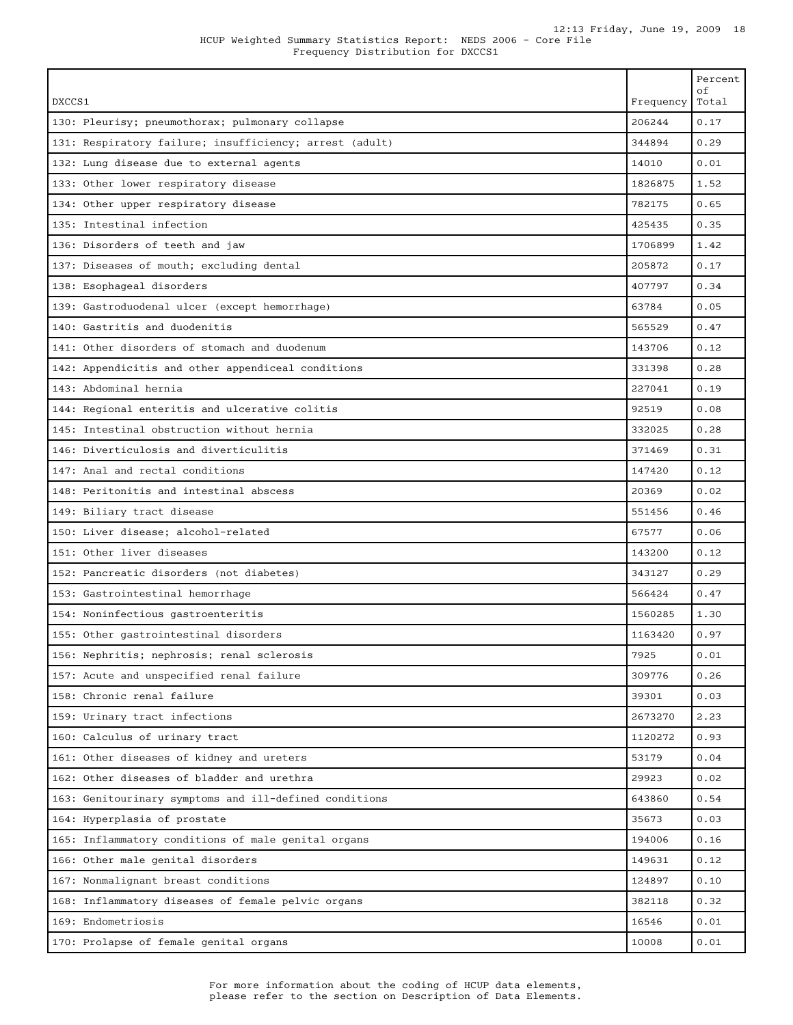Frequency Distribution for DXCCS1

| DXCCS1                                                  | Frequency | Percent<br>оf<br>Total |
|---------------------------------------------------------|-----------|------------------------|
| 130: Pleurisy; pneumothorax; pulmonary collapse         | 206244    | 0.17                   |
| 131: Respiratory failure; insufficiency; arrest (adult) | 344894    | 0.29                   |
| 132: Lung disease due to external agents                | 14010     | 0.01                   |
| 133: Other lower respiratory disease                    | 1826875   | 1.52                   |
| 134: Other upper respiratory disease                    | 782175    | 0.65                   |
| 135: Intestinal infection                               | 425435    | 0.35                   |
| 136: Disorders of teeth and jaw                         | 1706899   | 1.42                   |
| 137: Diseases of mouth; excluding dental                | 205872    | 0.17                   |
| 138: Esophageal disorders                               | 407797    | 0.34                   |
| 139: Gastroduodenal ulcer (except hemorrhage)           | 63784     | 0.05                   |
| 140: Gastritis and duodenitis                           | 565529    | 0.47                   |
| 141: Other disorders of stomach and duodenum            | 143706    | 0.12                   |
| 142: Appendicitis and other appendiceal conditions      | 331398    | 0.28                   |
| 143: Abdominal hernia                                   | 227041    | 0.19                   |
| 144: Regional enteritis and ulcerative colitis          | 92519     | 0.08                   |
| 145: Intestinal obstruction without hernia              | 332025    | 0.28                   |
| 146: Diverticulosis and diverticulitis                  | 371469    | 0.31                   |
| 147: Anal and rectal conditions                         | 147420    | 0.12                   |
| 148: Peritonitis and intestinal abscess                 | 20369     | 0.02                   |
| 149: Biliary tract disease                              | 551456    | 0.46                   |
| 150: Liver disease; alcohol-related                     | 67577     | 0.06                   |
| 151: Other liver diseases                               | 143200    | 0.12                   |
| 152: Pancreatic disorders (not diabetes)                | 343127    | 0.29                   |
| 153: Gastrointestinal hemorrhage                        | 566424    | 0.47                   |
| 154: Noninfectious gastroenteritis                      | 1560285   | 1.30                   |
| 155: Other gastrointestinal disorders                   | 1163420   | 0.97                   |
| 156: Nephritis; nephrosis; renal sclerosis              | 7925      | 0.01                   |
| 157: Acute and unspecified renal failure                | 309776    | 0.26                   |
| 158: Chronic renal failure                              | 39301     | 0.03                   |
| 159: Urinary tract infections                           | 2673270   | 2.23                   |
| 160: Calculus of urinary tract                          | 1120272   | 0.93                   |
| 161: Other diseases of kidney and ureters               | 53179     | 0.04                   |
| 162: Other diseases of bladder and urethra              | 29923     | 0.02                   |
| 163: Genitourinary symptoms and ill-defined conditions  | 643860    | 0.54                   |
| 164: Hyperplasia of prostate                            | 35673     | 0.03                   |
| 165: Inflammatory conditions of male genital organs     | 194006    | 0.16                   |
| 166: Other male genital disorders                       | 149631    | 0.12                   |
| 167: Nonmalignant breast conditions                     | 124897    | 0.10                   |
| 168: Inflammatory diseases of female pelvic organs      | 382118    | 0.32                   |
| 169: Endometriosis                                      | 16546     | 0.01                   |
| 170: Prolapse of female genital organs                  | 10008     | 0.01                   |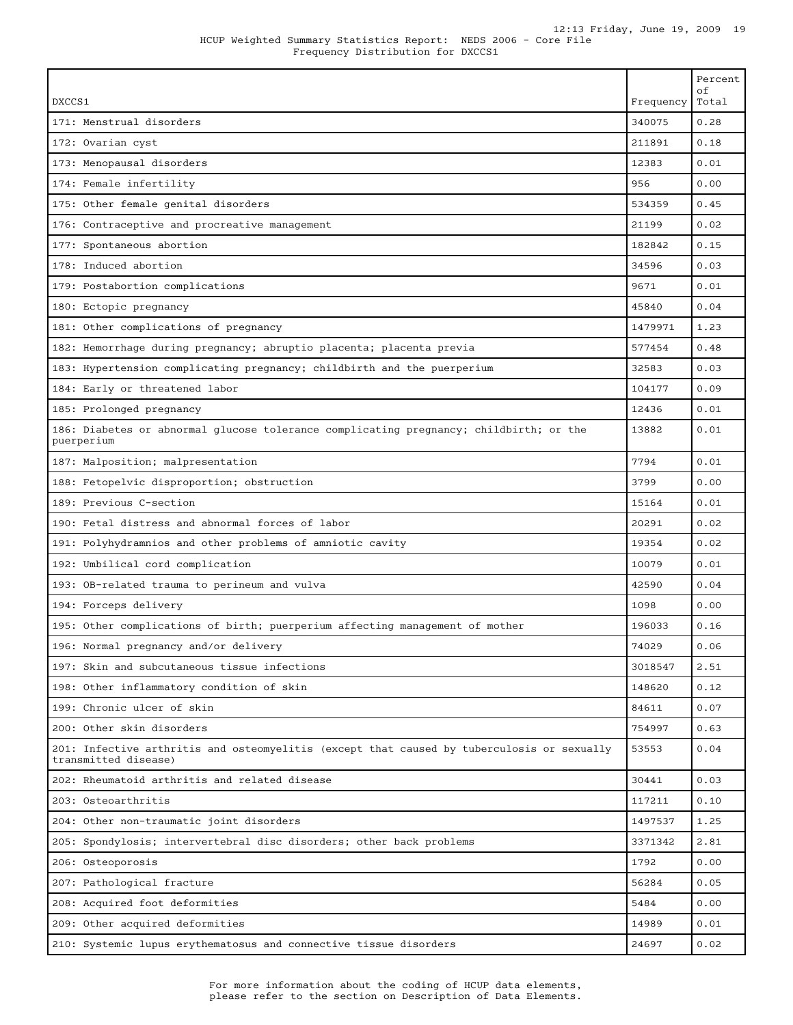Frequency Distribution for DXCCS1

| DXCCS1                                                                                                             | Frequency | Percent<br>оf<br>Total |
|--------------------------------------------------------------------------------------------------------------------|-----------|------------------------|
| 171: Menstrual disorders                                                                                           | 340075    | 0.28                   |
| 172: Ovarian cyst                                                                                                  | 211891    | 0.18                   |
| 173: Menopausal disorders                                                                                          | 12383     | 0.01                   |
| 174: Female infertility                                                                                            | 956       | 0.00                   |
| 175: Other female genital disorders                                                                                | 534359    | 0.45                   |
| 176: Contraceptive and procreative management                                                                      | 21199     | 0.02                   |
| 177: Spontaneous abortion                                                                                          | 182842    | 0.15                   |
| 178: Induced abortion                                                                                              | 34596     | 0.03                   |
| 179: Postabortion complications                                                                                    | 9671      | 0.01                   |
| 180: Ectopic pregnancy                                                                                             | 45840     | 0.04                   |
| 181: Other complications of pregnancy                                                                              | 1479971   | 1.23                   |
| 182: Hemorrhage during pregnancy; abruptio placenta; placenta previa                                               | 577454    | 0.48                   |
| 183: Hypertension complicating pregnancy; childbirth and the puerperium                                            | 32583     | 0.03                   |
| 184: Early or threatened labor                                                                                     | 104177    | 0.09                   |
| 185: Prolonged pregnancy                                                                                           | 12436     | 0.01                   |
| 186: Diabetes or abnormal glucose tolerance complicating pregnancy; childbirth; or the<br>puerperium               | 13882     | 0.01                   |
| 187: Malposition; malpresentation                                                                                  | 7794      | 0.01                   |
| 188: Fetopelvic disproportion; obstruction                                                                         | 3799      | 0.00                   |
| 189: Previous C-section                                                                                            | 15164     | 0.01                   |
| 190: Fetal distress and abnormal forces of labor                                                                   | 20291     | 0.02                   |
| 191: Polyhydramnios and other problems of amniotic cavity                                                          | 19354     | 0.02                   |
| 192: Umbilical cord complication                                                                                   | 10079     | 0.01                   |
| 193: OB-related trauma to perineum and vulva                                                                       | 42590     | 0.04                   |
| 194: Forceps delivery                                                                                              | 1098      | 0.00                   |
| 195: Other complications of birth; puerperium affecting management of mother                                       | 196033    | 0.16                   |
| 196: Normal pregnancy and/or delivery                                                                              | 74029     | 0.06                   |
| 197: Skin and subcutaneous tissue infections                                                                       | 3018547   | 2.51                   |
| 198: Other inflammatory condition of skin                                                                          | 148620    | 0.12                   |
| 199: Chronic ulcer of skin                                                                                         | 84611     | 0.07                   |
| 200: Other skin disorders                                                                                          | 754997    | 0.63                   |
| 201: Infective arthritis and osteomyelitis (except that caused by tuberculosis or sexually<br>transmitted disease) | 53553     | 0.04                   |
| 202: Rheumatoid arthritis and related disease                                                                      | 30441     | 0.03                   |
| 203: Osteoarthritis                                                                                                | 117211    | 0.10                   |
| 204: Other non-traumatic joint disorders                                                                           | 1497537   | 1.25                   |
| 205: Spondylosis; intervertebral disc disorders; other back problems                                               | 3371342   | 2.81                   |
| 206: Osteoporosis                                                                                                  | 1792      | 0.00                   |
| 207: Pathological fracture                                                                                         | 56284     | 0.05                   |
| 208: Acquired foot deformities                                                                                     | 5484      | 0.00                   |
| 209: Other acquired deformities                                                                                    | 14989     | 0.01                   |
| 210: Systemic lupus erythematosus and connective tissue disorders                                                  | 24697     | 0.02                   |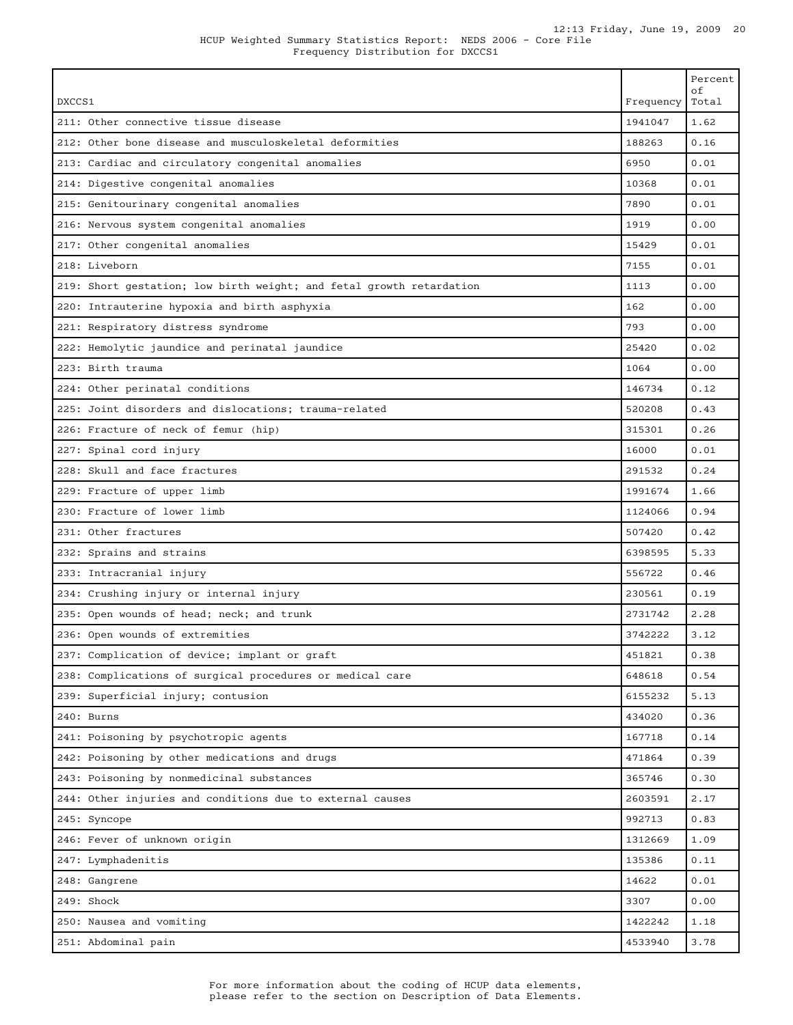Frequency Distribution for DXCCS1

|                                                                              | οf<br>Total |
|------------------------------------------------------------------------------|-------------|
| DXCCS1<br>Frequency                                                          |             |
| 1941047<br>211: Other connective tissue disease                              | 1.62        |
| 188263<br>212: Other bone disease and musculoskeletal deformities            | 0.16        |
| 6950<br>213: Cardiac and circulatory congenital anomalies                    | 0.01        |
| 10368<br>214: Digestive congenital anomalies                                 | 0.01        |
| 7890<br>215: Genitourinary congenital anomalies                              | 0.01        |
| 1919<br>216: Nervous system congenital anomalies                             | 0.00        |
| 217: Other congenital anomalies<br>15429                                     | 0.01        |
| 218: Liveborn<br>7155                                                        | 0.01        |
| 219: Short gestation; low birth weight; and fetal growth retardation<br>1113 | 0.00        |
| 162<br>220: Intrauterine hypoxia and birth asphyxia                          | 0.00        |
| 793<br>221: Respiratory distress syndrome                                    | 0.00        |
| 25420<br>222: Hemolytic jaundice and perinatal jaundice                      | 0.02        |
| 223: Birth trauma<br>1064                                                    | 0.00        |
| 146734<br>224: Other perinatal conditions                                    | 0.12        |
| 225: Joint disorders and dislocations; trauma-related<br>520208              | 0.43        |
| 226: Fracture of neck of femur (hip)<br>315301                               | 0.26        |
| 227: Spinal cord injury<br>16000                                             | 0.01        |
| 228: Skull and face fractures<br>291532                                      | 0.24        |
| 1991674<br>229: Fracture of upper limb                                       | 1.66        |
| 230: Fracture of lower limb<br>1124066                                       | 0.94        |
| 231: Other fractures<br>507420                                               | 0.42        |
| 6398595<br>232: Sprains and strains                                          | 5.33        |
| 233: Intracranial injury<br>556722                                           | 0.46        |
| 230561<br>234: Crushing injury or internal injury                            | 0.19        |
| 2731742<br>235: Open wounds of head; neck; and trunk                         | 2.28        |
| 3742222<br>236: Open wounds of extremities                                   | 3.12        |
| 237: Complication of device; implant or graft<br>451821                      | 0.38        |
| 238: Complications of surgical procedures or medical care<br>648618          | 0.54        |
| 239: Superficial injury; contusion<br>6155232                                | 5.13        |
| 240: Burns<br>434020                                                         | 0.36        |
| 241: Poisoning by psychotropic agents<br>167718                              | 0.14        |
| 242: Poisoning by other medications and drugs<br>471864                      | 0.39        |
| 243: Poisoning by nonmedicinal substances<br>365746                          | 0.30        |
| 244: Other injuries and conditions due to external causes<br>2603591         | 2.17        |
| 992713<br>245: Syncope                                                       | 0.83        |
| 246: Fever of unknown origin<br>1312669                                      | 1.09        |
| 135386<br>247: Lymphadenitis                                                 | 0.11        |
| 14622<br>248: Gangrene                                                       | 0.01        |
| 249: Shock<br>3307                                                           | 0.00        |
| 250: Nausea and vomiting<br>1422242                                          | 1.18        |
| 4533940<br>251: Abdominal pain                                               | 3.78        |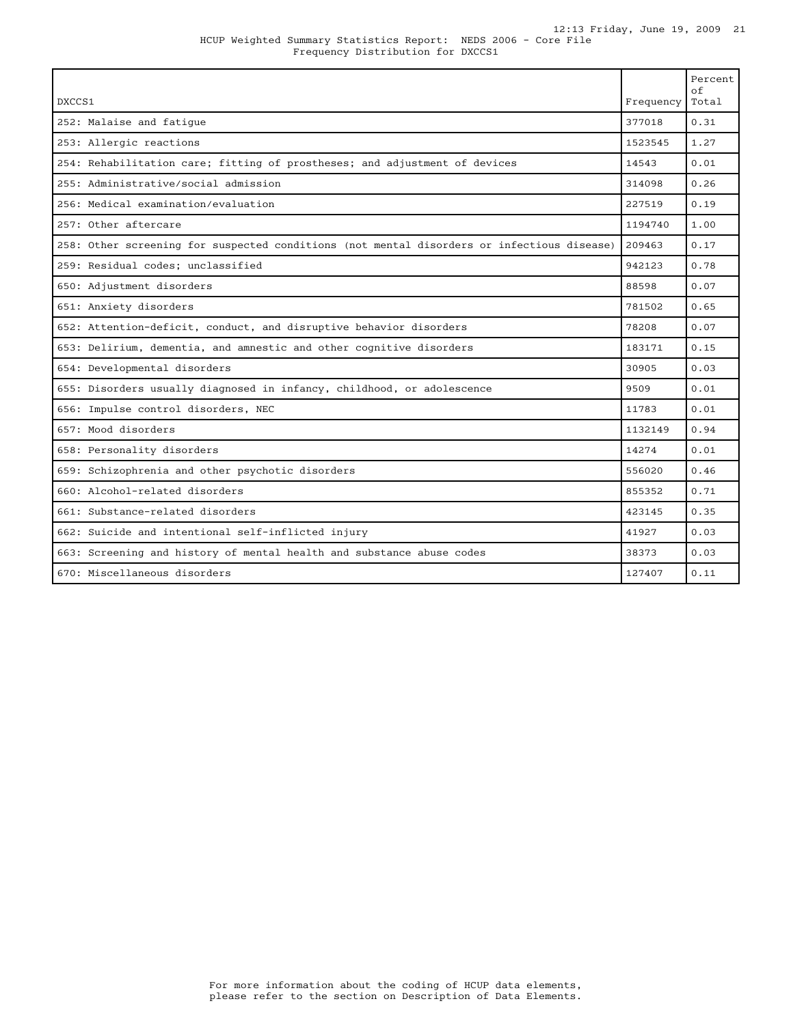| DXCCS1                                                                                     | Frequency | Percent<br>of<br>Total |
|--------------------------------------------------------------------------------------------|-----------|------------------------|
| 252: Malaise and fatique                                                                   | 377018    | 0.31                   |
| 253: Allergic reactions                                                                    | 1523545   | 1.27                   |
| 254: Rehabilitation care; fitting of prostheses; and adjustment of devices                 | 14543     | 0.01                   |
| 255: Administrative/social admission                                                       | 314098    | 0.26                   |
| 256: Medical examination/evaluation                                                        | 227519    | 0.19                   |
| 257: Other aftercare                                                                       | 1194740   | 1.00                   |
| 258: Other screening for suspected conditions (not mental disorders or infectious disease) | 209463    | 0.17                   |
| 259: Residual codes; unclassified                                                          | 942123    | 0.78                   |
| 650: Adjustment disorders                                                                  | 88598     | 0.07                   |
| 651: Anxiety disorders                                                                     | 781502    | 0.65                   |
| 652: Attention-deficit, conduct, and disruptive behavior disorders                         | 78208     | 0.07                   |
| 653: Delirium, dementia, and amnestic and other cognitive disorders                        | 183171    | 0.15                   |
| 654: Developmental disorders                                                               | 30905     | 0.03                   |
| 655: Disorders usually diagnosed in infancy, childhood, or adolescence                     | 9509      | 0.01                   |
| 656: Impulse control disorders, NEC                                                        | 11783     | 0.01                   |
| 657: Mood disorders                                                                        | 1132149   | 0.94                   |
| 658: Personality disorders                                                                 | 14274     | 0.01                   |
| 659: Schizophrenia and other psychotic disorders                                           | 556020    | 0.46                   |
| 660: Alcohol-related disorders                                                             | 855352    | 0.71                   |
| 661: Substance-related disorders                                                           | 423145    | 0.35                   |
| 662: Suicide and intentional self-inflicted injury                                         | 41927     | 0.03                   |
| 663: Screening and history of mental health and substance abuse codes                      | 38373     | 0.03                   |
| 670: Miscellaneous disorders                                                               | 127407    | 0.11                   |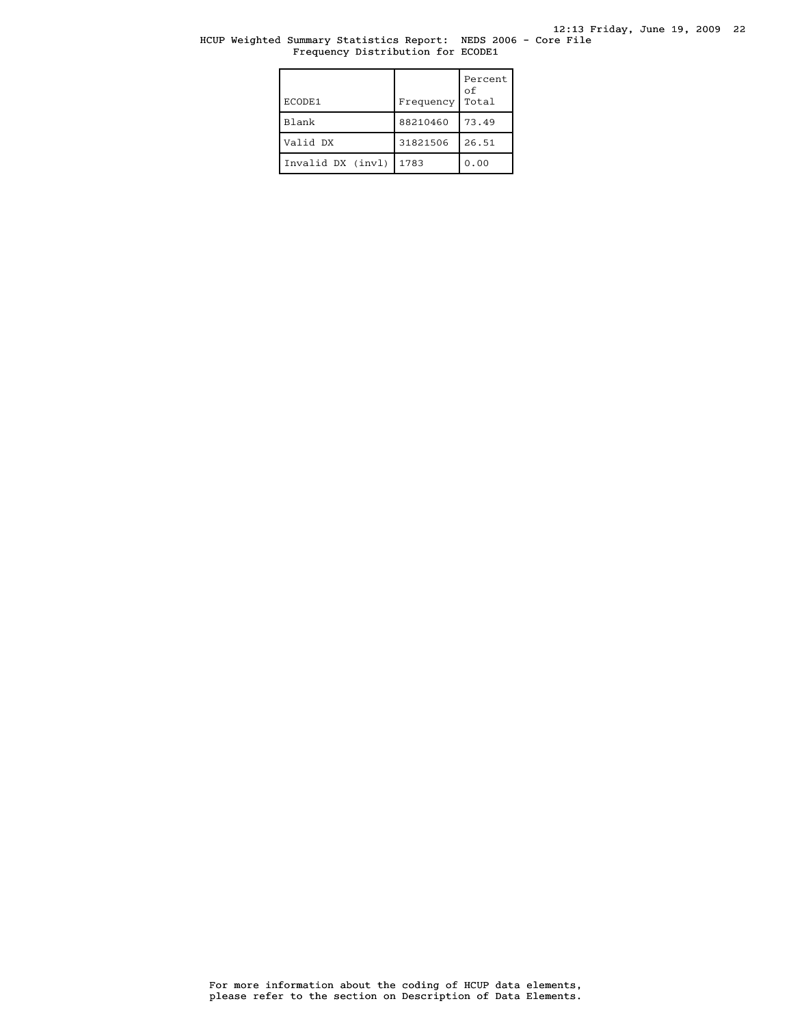## HCUP Weighted Summary Statistics Report: NEDS 2006 - Core File Frequency Distribution for ECODE1

| ECODE1            | Frequency | Percent<br>оf<br>Total |
|-------------------|-----------|------------------------|
| <b>Blank</b>      | 88210460  | 73.49                  |
| Valid DX          | 31821506  | 26.51                  |
| Invalid DX (invl) | 1783      | 0.00                   |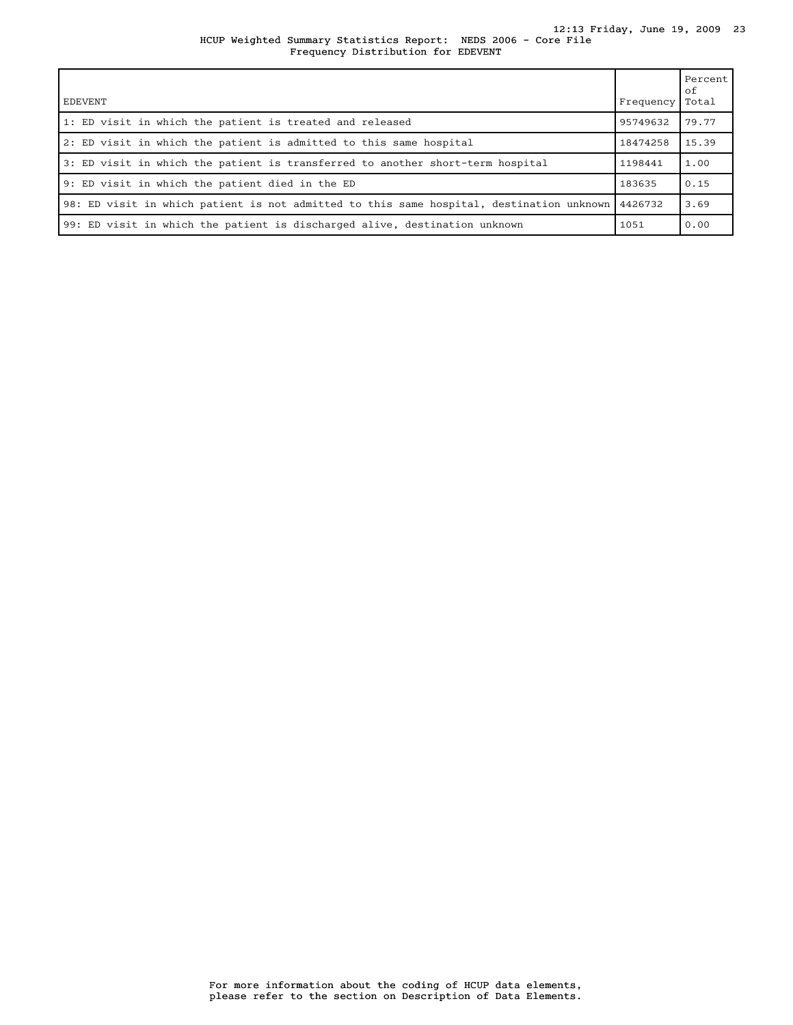#### HCUP Weighted Summary Statistics Report: NEDS 2006 - Core File 12:13 Friday, June 19, 2009 23 Frequency Distribution for EDEVENT

| <b>EDEVENT</b>                                                                           | Frequency | Percent<br>оf<br>Total |
|------------------------------------------------------------------------------------------|-----------|------------------------|
| 1: ED visit in which the patient is treated and released                                 | 95749632  | 79.77                  |
| 2: ED visit in which the patient is admitted to this same hospital                       | 18474258  | 15.39                  |
| 3: ED visit in which the patient is transferred to another short-term hospital           | 1198441   | 1.00                   |
| 9: ED visit in which the patient died in the ED                                          | 183635    | 0.15                   |
| 98: ED visit in which patient is not admitted to this same hospital, destination unknown | 4426732   | 3.69                   |
| 99: ED visit in which the patient is discharged alive, destination unknown               | 1051      | 0.00                   |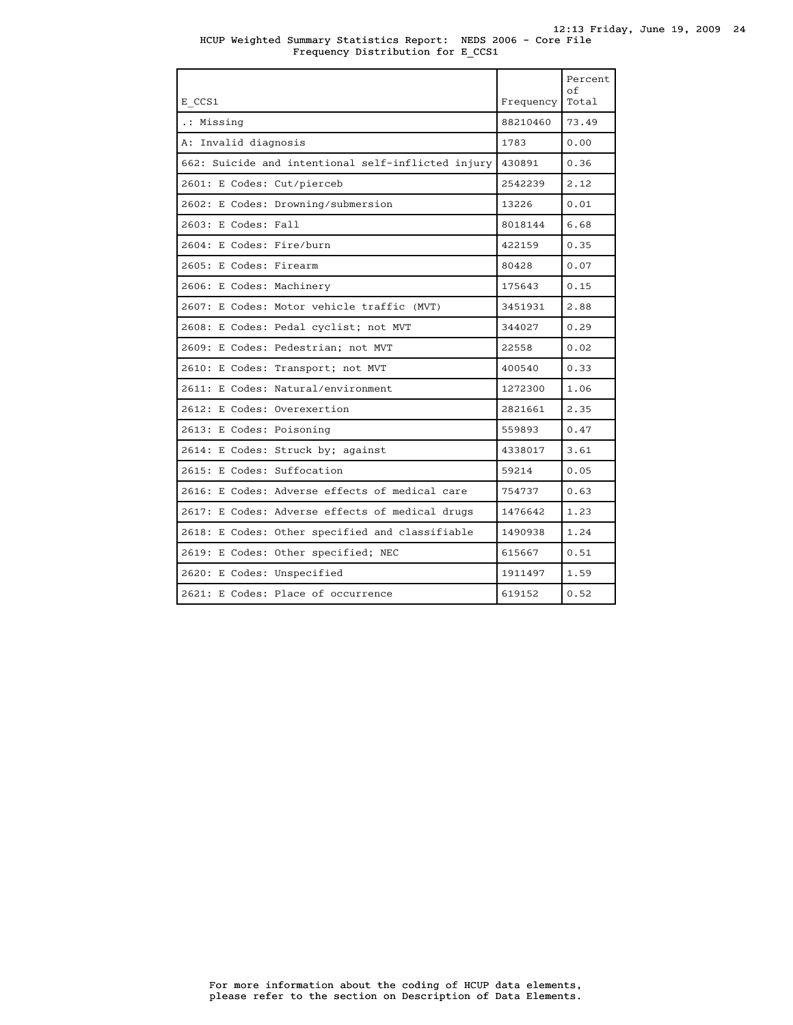| E CCS1                                             | Frequency | Percent<br>of<br>Total |
|----------------------------------------------------|-----------|------------------------|
| .: Missing                                         | 88210460  | 73.49                  |
| A: Invalid diagnosis                               | 1783      | 0.00                   |
| 662: Suicide and intentional self-inflicted injury | 430891    | 0.36                   |
| 2601: E Codes: Cut/pierceb                         | 2542239   | 2.12                   |
| 2602: E Codes: Drowning/submersion                 | 13226     | 0.01                   |
| 2603: E Codes: Fall                                | 8018144   | 6.68                   |
| 2604: E Codes: Fire/burn                           | 422159    | 0.35                   |
| 2605: E Codes: Firearm                             | 80428     | 0.07                   |
| 2606: E Codes: Machinery                           | 175643    | 0.15                   |
| 2607: E Codes: Motor vehicle traffic (MVT)         | 3451931   | 2.88                   |
| 2608: E Codes: Pedal cyclist; not MVT              | 344027    | 0.29                   |
| 2609: E Codes: Pedestrian; not MVT                 | 22558     | 0.02                   |
| 2610: E Codes: Transport; not MVT                  | 400540    | 0.33                   |
| 2611: E Codes: Natural/environment                 | 1272300   | 1.06                   |
| 2612: E Codes: Overexertion                        | 2821661   | 2.35                   |
| 2613: E Codes: Poisoning                           | 559893    | 0.47                   |
| 2614: E Codes: Struck by; against                  | 4338017   | 3.61                   |
| 2615: E Codes: Suffocation                         | 59214     | 0.05                   |
| 2616: E Codes: Adverse effects of medical care     | 754737    | 0.63                   |
| 2617: E Codes: Adverse effects of medical drugs    | 1476642   | 1.23                   |
| 2618: E Codes: Other specified and classifiable    | 1490938   | 1.24                   |
| 2619: E Codes: Other specified; NEC                | 615667    | 0.51                   |
| 2620: E Codes: Unspecified                         | 1911497   | 1.59                   |
| 2621: E Codes: Place of occurrence                 | 619152    | 0.52                   |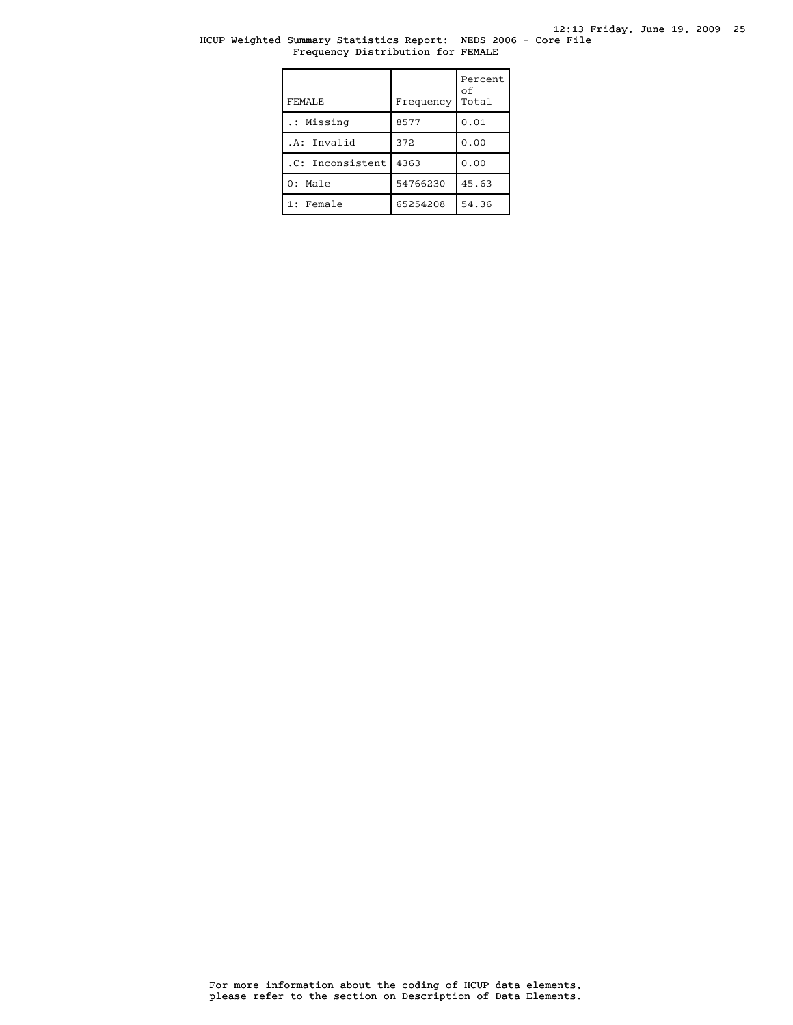## HCUP Weighted Summary Statistics Report: NEDS 2006 - Core File Frequency Distribution for FEMALE

| FEMALE.          | Frequency | Percent<br>οf<br>Total |
|------------------|-----------|------------------------|
| .: Missing       | 8577      | 0.01                   |
| .A: Invalid      | 372       | 0.00                   |
| .C: Inconsistent | 4363      | 0.00                   |
| $0:$ Male        | 54766230  | 45.63                  |
| 1: Female        | 65254208  | 54.36                  |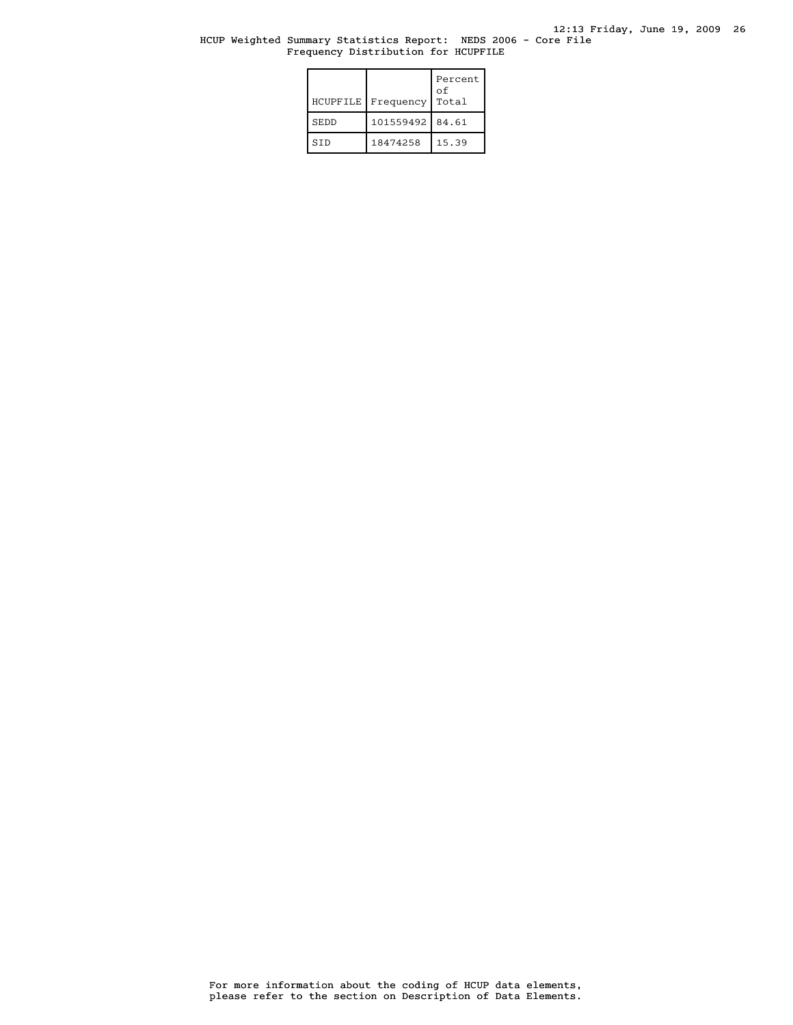## HCUP Weighted Summary Statistics Report: NEDS 2006 - Core File Frequency Distribution for HCUPFILE

| HCUPFILE    | Frequency       | Percent<br>οf<br>Total |
|-------------|-----------------|------------------------|
| <b>SEDD</b> | 101559492 84.61 |                        |
| STD         | 18474258        | 15.39                  |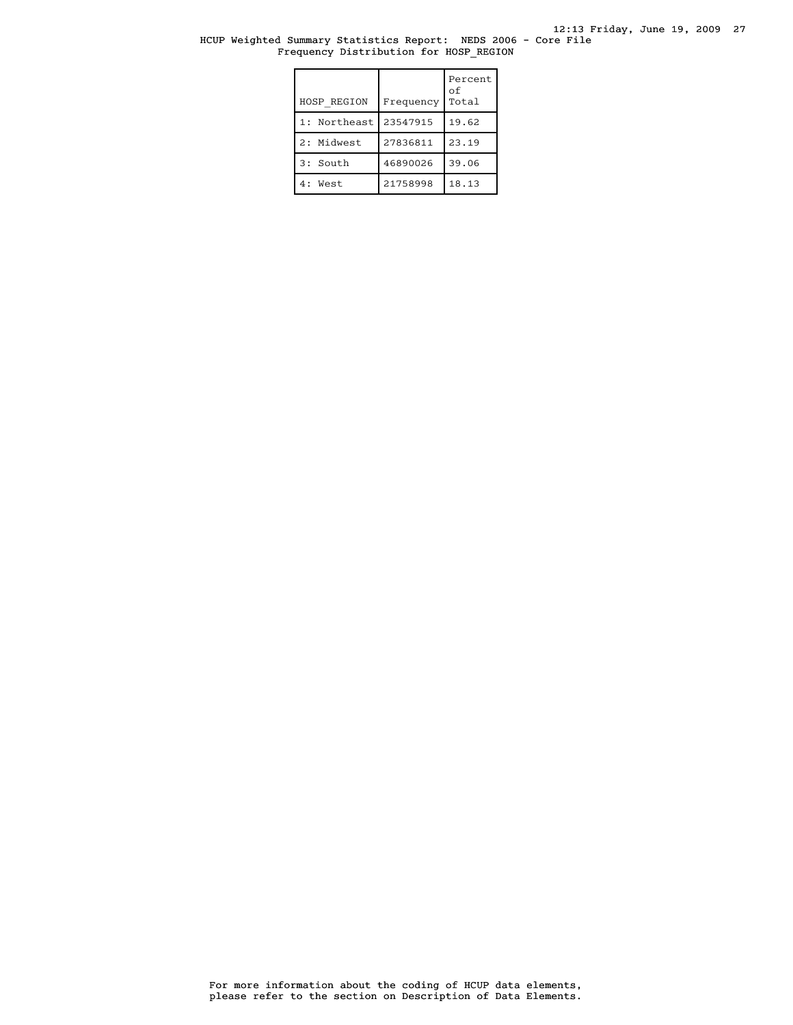12:13 Friday, June 19, 2009 27

#### HCUP Weighted Summary Statistics Report: NEDS 2006 - Core File Frequency Distribution for HOSP\_REGION

| HOSP REGION  | Frequency | Percent<br>оf<br>Total |
|--------------|-----------|------------------------|
| 1: Northeast | 23547915  | 19.62                  |
| 2: Midwest   | 27836811  | 23.19                  |
| 3: South     | 46890026  | 39.06                  |
| 4: West      | 21758998  | 18.13                  |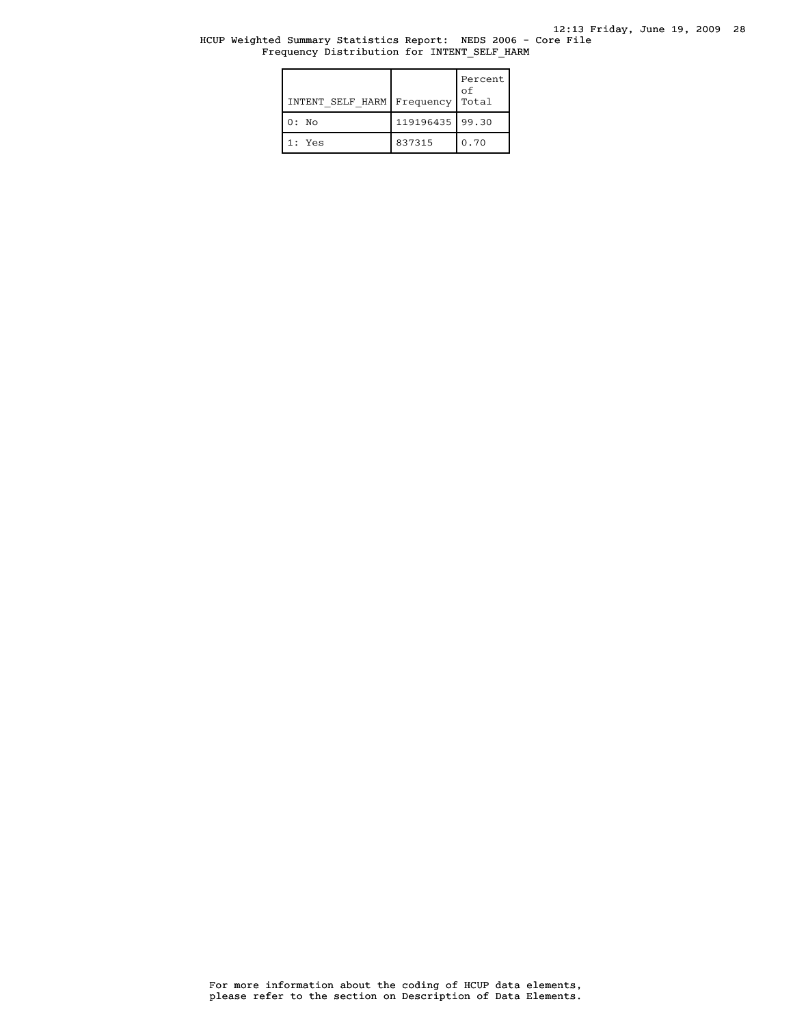### HCUP Weighted Summary Statistics Report: NEDS 2006 - Core File Frequency Distribution for INTENT\_SELF\_HARM

| INTENT SELF HARM | Frequency         | Percent  <br>оf<br>Total |
|------------------|-------------------|--------------------------|
| $0:$ No          | 119196435   99.30 |                          |
| $1:$ Yes         | 837315            | 0.70                     |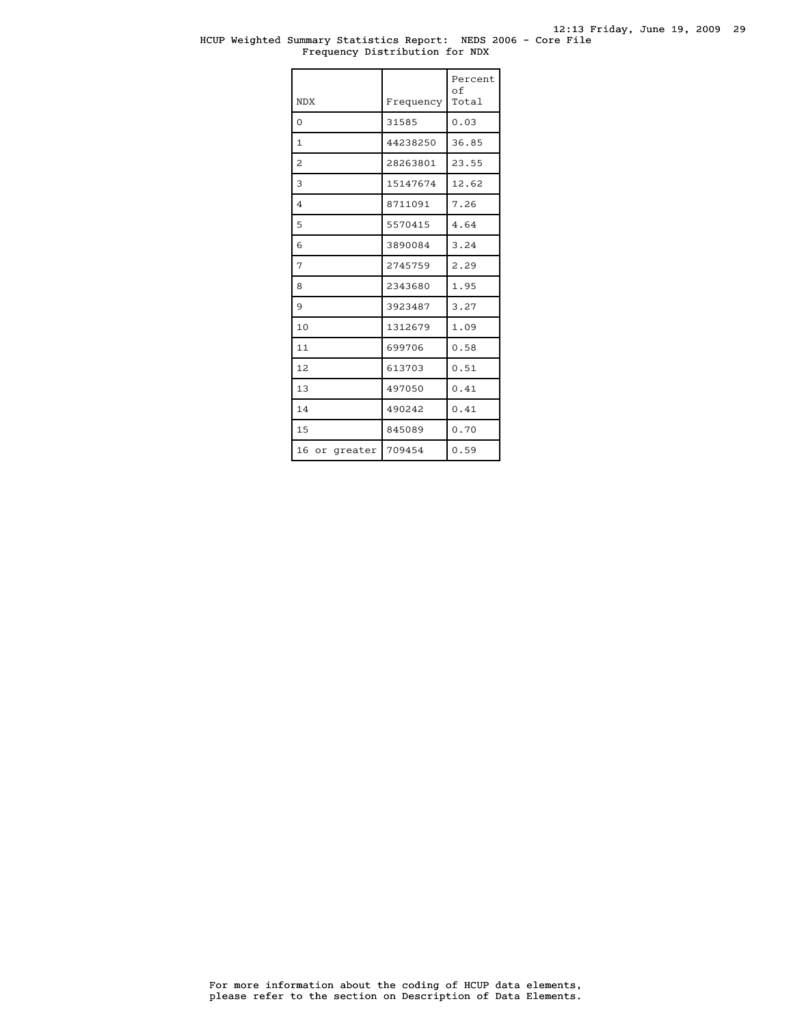### HCUP Weighted Summary Statistics Report: NEDS 2006 - Core File Frequency Distribution for NDX

| <b>NDX</b>    | Frequency | Percent<br>оf<br>Total |
|---------------|-----------|------------------------|
| 0             | 31585     | 0.03                   |
| $\mathbf{1}$  | 44238250  | 36.85                  |
| 2             | 28263801  | 23.55                  |
| 3             | 15147674  | 12.62                  |
| 4             | 8711091   | 7.26                   |
| 5             | 5570415   | 4.64                   |
| 6             | 3890084   | 3.24                   |
| 7             | 2745759   | 2.29                   |
| 8             | 2343680   | 1.95                   |
| 9             | 3923487   | 3.27                   |
| 10            | 1312679   | 1.09                   |
| 11            | 699706    | 0.58                   |
| 12            | 613703    | 0.51                   |
| 13            | 497050    | 0.41                   |
| 14            | 490242    | 0.41                   |
| 15            | 845089    | 0.70                   |
| 16 or greater | 709454    | 0.59                   |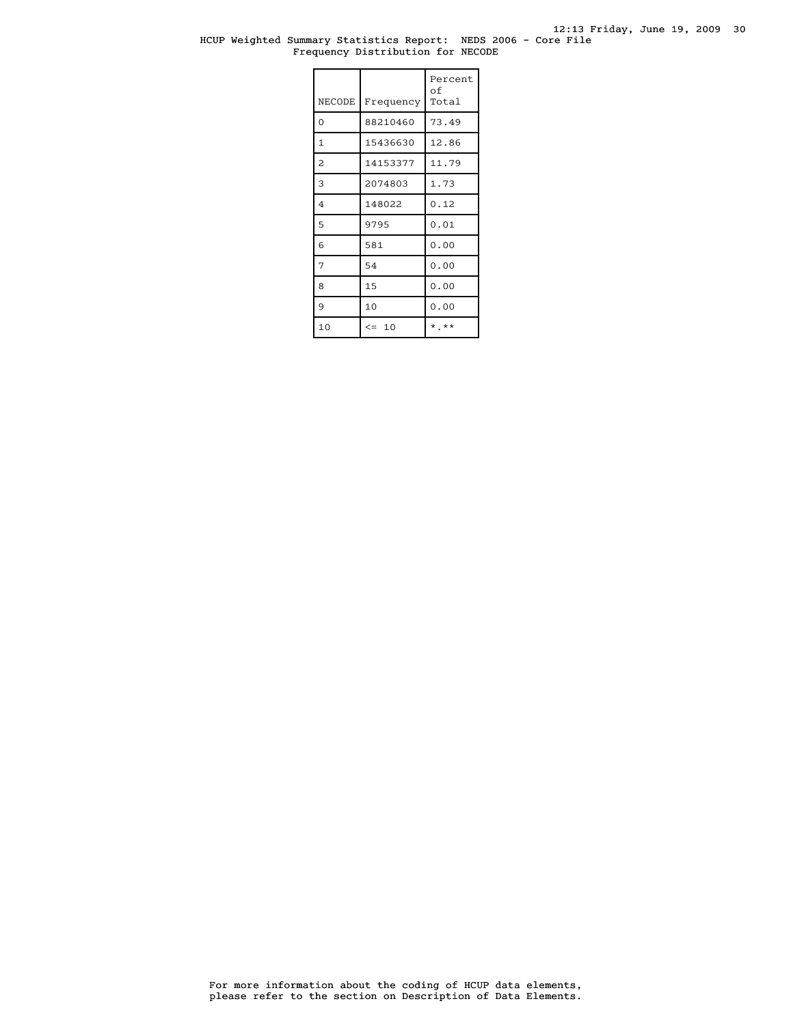## HCUP Weighted Summary Statistics Report: NEDS 2006 - Core File Frequency Distribution for NECODE

| NECODE         | Frequency | Percent<br>оf<br>Total |
|----------------|-----------|------------------------|
| $\Omega$       | 88210460  | 73.49                  |
| $\mathbf{1}$   | 15436630  | 12.86                  |
| 2              | 14153377  | 11.79                  |
| 3              | 2074803   | 1.73                   |
| $\overline{4}$ | 148022    | 0.12                   |
| 5              | 9795      | 0.01                   |
| 6              | 581       | 0.00                   |
| 7              | 54        | 0.00                   |
| 8              | 15        | 0.00                   |
| 9              | 10        | 0.00                   |
| 10             | $\leq$ 10 | $*$ **                 |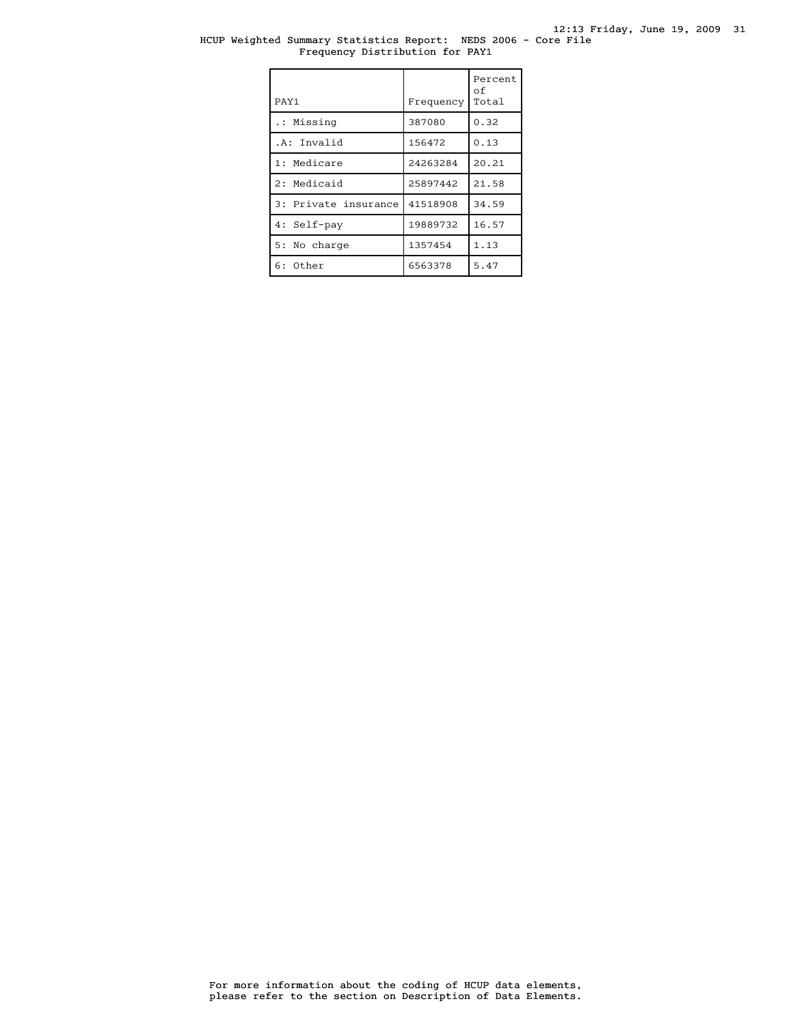## HCUP Weighted Summary Statistics Report: NEDS 2006 - Core File Frequency Distribution for PAY1

| PAY1                 | Frequency | Percent<br>оf<br>Total |
|----------------------|-----------|------------------------|
| .: Missing           | 387080    | 0.32                   |
| .A: Invalid          | 156472    | 0.13                   |
| 1: Medicare          | 24263284  | 20.21                  |
| 2: Medicaid          | 25897442  | 21.58                  |
| 3: Private insurance | 41518908  | 34.59                  |
| 4: Self-pay          | 19889732  | 16.57                  |
| 5: No charge         | 1357454   | 1.13                   |
| 6: Other             | 6563378   | 5.47                   |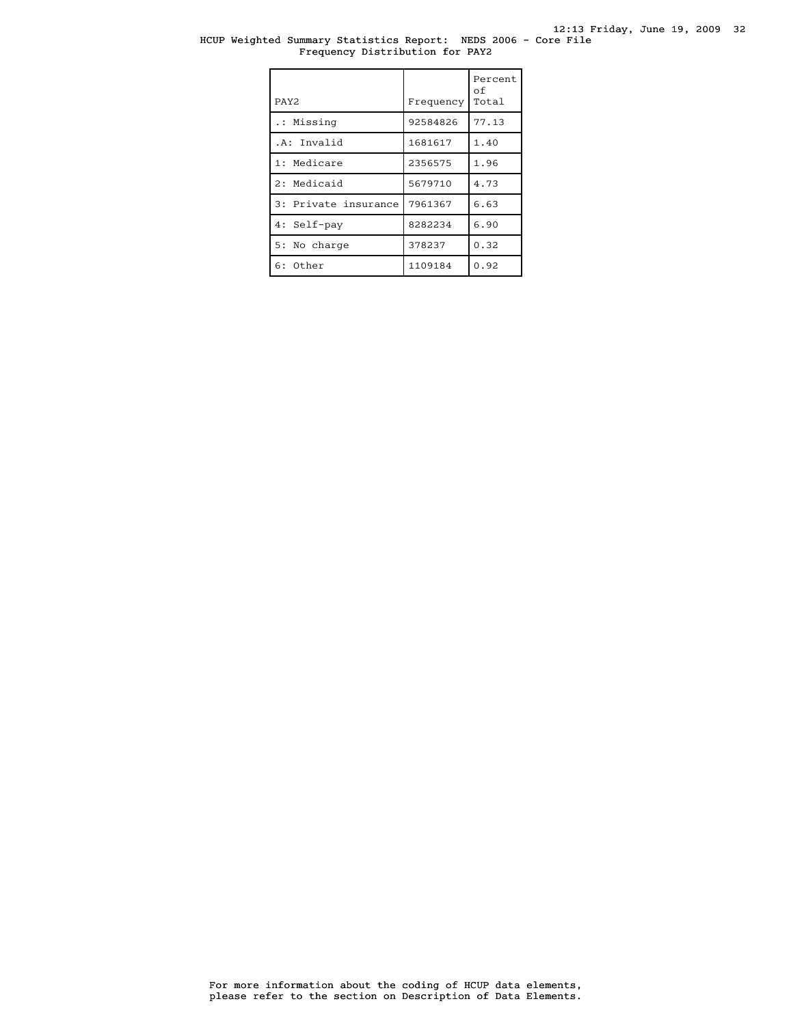## HCUP Weighted Summary Statistics Report: NEDS 2006 - Core File Frequency Distribution for PAY2

| PAY <sub>2</sub>     | Frequency | Percent<br>оf<br>Total |
|----------------------|-----------|------------------------|
| .: Missing           | 92584826  | 77.13                  |
| .A: Invalid          | 1681617   | 1.40                   |
| 1: Medicare          | 2356575   | 1.96                   |
| 2: Medicaid          | 5679710   | 4.73                   |
| 3: Private insurance | 7961367   | 6.63                   |
| 4: Self-pay          | 8282234   | 6.90                   |
| 5: No charge         | 378237    | 0.32                   |
| $6:$ Other           | 1109184   | 0.92                   |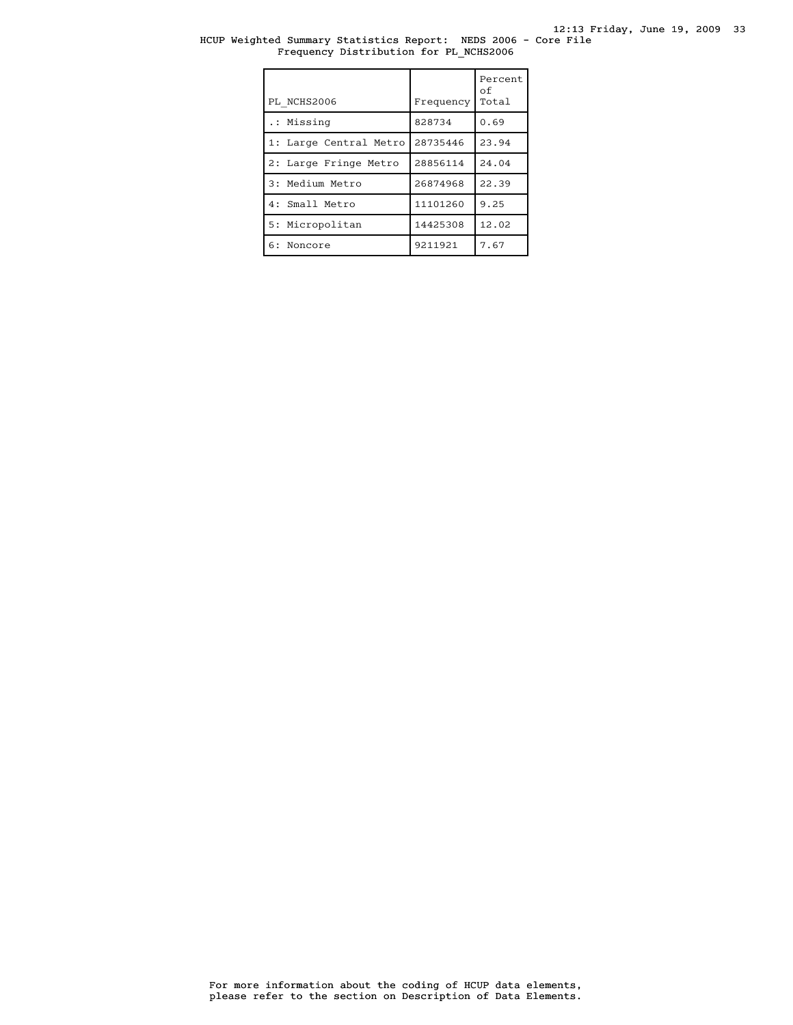### HCUP Weighted Summary Statistics Report: NEDS 2006 - Core File Frequency Distribution for PL\_NCHS2006

| PL NCHS2006            | Frequency | Percent<br>οf<br>Total |
|------------------------|-----------|------------------------|
| .: Missing             | 828734    | 0.69                   |
| 1: Large Central Metro | 28735446  | 23.94                  |
| 2: Large Fringe Metro  | 28856114  | 24.04                  |
| 3: Medium Metro        | 26874968  | 22.39                  |
| 4: Small Metro         | 11101260  | 9.25                   |
| 5: Micropolitan        | 14425308  | 12.02                  |
| 6: Noncore             | 9211921   | 7.67                   |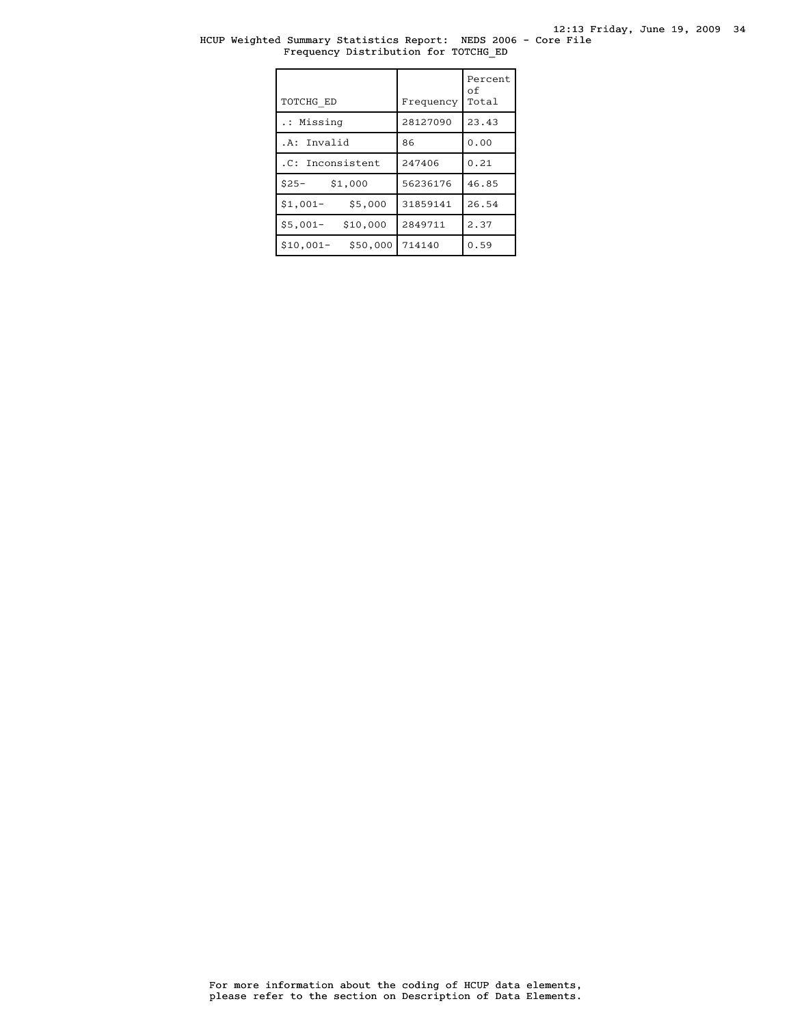### HCUP Weighted Summary Statistics Report: NEDS 2006 - Core File Frequency Distribution for TOTCHG\_ED

| TOTCHG ED              | Frequency | Percent<br>of<br>Total |
|------------------------|-----------|------------------------|
| .: Missing             | 28127090  | 23.43                  |
| .A: Invalid            | 86        | 0.00                   |
| .C: Inconsistent       | 247406    | 0.21                   |
| $$25-$<br>\$1,000      | 56236176  | 46.85                  |
| $$1,001-$<br>\$5,000   | 31859141  | 26.54                  |
| $$5,001-$<br>\$10,000  | 2849711   | 2.37                   |
| \$50,000<br>$$10,001-$ | 714140    | 0.59                   |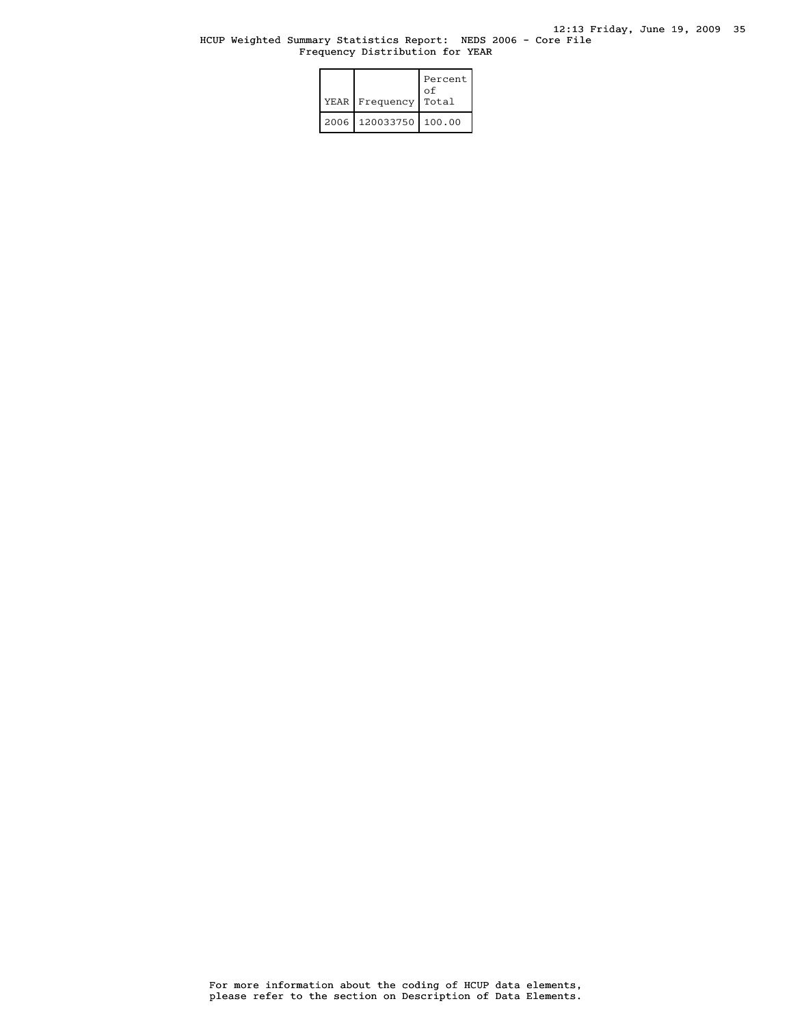### HCUP Weighted Summary Statistics Report: NEDS 2006 - Core File Frequency Distribution for YEAR

|      | YEAR   Frequency | Percent<br>οf<br>Total |
|------|------------------|------------------------|
| 2006 | 120033750        | 100.00                 |